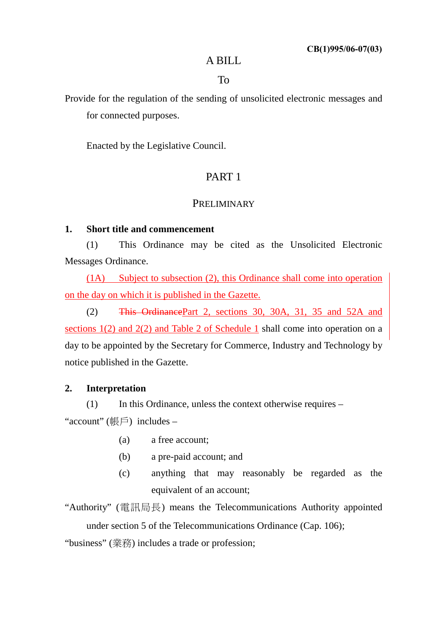## A BILL

To

Provide for the regulation of the sending of unsolicited electronic messages and for connected purposes.

Enacted by the Legislative Council.

# PART 1

# **PRELIMINARY**

# **1. Short title and commencement**

(1) This Ordinance may be cited as the Unsolicited Electronic Messages Ordinance.

(1A) Subject to subsection (2), this Ordinance shall come into operation on the day on which it is published in the Gazette.

(2) This Ordinance Part 2, sections 30, 30A, 31, 35 and 52A and sections 1(2) and 2(2) and Table 2 of Schedule 1 shall come into operation on a day to be appointed by the Secretary for Commerce, Industry and Technology by notice published in the Gazette.

# **2. Interpretation**

(1) In this Ordinance, unless the context otherwise requires –

"account" (帳戶) includes –

- (a) a free account;
- (b) a pre-paid account; and
- (c) anything that may reasonably be regarded as the equivalent of an account;

"Authority" (電訊局長) means the Telecommunications Authority appointed under section 5 of the Telecommunications Ordinance (Cap. 106);

"business" (業務) includes a trade or profession;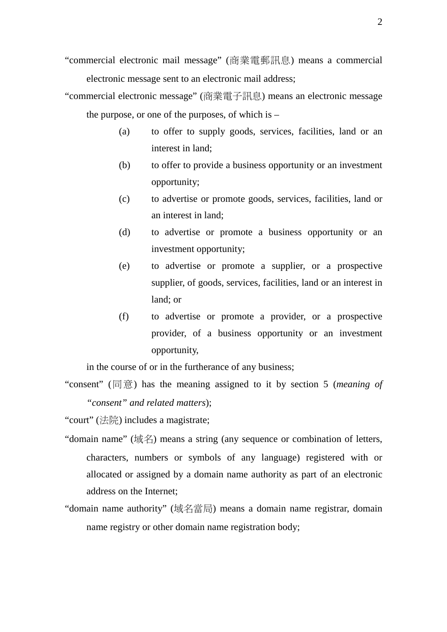- "commercial electronic mail message" (商業電郵訊息) means a commercial electronic message sent to an electronic mail address;
- "commercial electronic message" (商業電子訊息) means an electronic message the purpose, or one of the purposes, of which is –
	- (a) to offer to supply goods, services, facilities, land or an interest in land;
	- (b) to offer to provide a business opportunity or an investment opportunity;
	- (c) to advertise or promote goods, services, facilities, land or an interest in land;
	- (d) to advertise or promote a business opportunity or an investment opportunity;
	- (e) to advertise or promote a supplier, or a prospective supplier, of goods, services, facilities, land or an interest in land; or
	- (f) to advertise or promote a provider, or a prospective provider, of a business opportunity or an investment opportunity,

in the course of or in the furtherance of any business;

"consent" (同意) has the meaning assigned to it by section 5 (*meaning of "consent" and related matters*);

"court" (法院) includes a magistrate;

- "domain name" (域名) means a string (any sequence or combination of letters, characters, numbers or symbols of any language) registered with or allocated or assigned by a domain name authority as part of an electronic address on the Internet;
- "domain name authority" (域名當局) means a domain name registrar, domain name registry or other domain name registration body;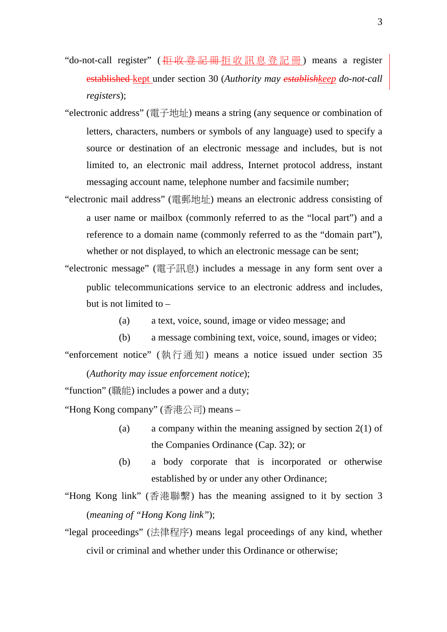- "do-not-call register" ( <del>拒收登記冊</del>拒收訊息登記冊) means a register established kept under section 30 (*Authority may establishkeep do-not-call registers*);
- "electronic address" (電子地址) means a string (any sequence or combination of letters, characters, numbers or symbols of any language) used to specify a source or destination of an electronic message and includes, but is not limited to, an electronic mail address, Internet protocol address, instant messaging account name, telephone number and facsimile number;
- "electronic mail address" (電郵地址) means an electronic address consisting of a user name or mailbox (commonly referred to as the "local part") and a reference to a domain name (commonly referred to as the "domain part"), whether or not displayed, to which an electronic message can be sent;
- "electronic message" (電子訊息) includes a message in any form sent over a public telecommunications service to an electronic address and includes, but is not limited to –
	- (a) a text, voice, sound, image or video message; and
	- (b) a message combining text, voice, sound, images or video;

"enforcement notice" (執行通知) means a notice issued under section 35

(*Authority may issue enforcement notice*);

"function" (職能) includes a power and a duty;

"Hong Kong company" (香港公司) means –

- (a) a company within the meaning assigned by section 2(1) of the Companies Ordinance (Cap. 32); or
- (b) a body corporate that is incorporated or otherwise established by or under any other Ordinance;
- "Hong Kong link" (香港聯繫) has the meaning assigned to it by section 3 (*meaning of "Hong Kong link"*);
- "legal proceedings" (法律程序) means legal proceedings of any kind, whether civil or criminal and whether under this Ordinance or otherwise;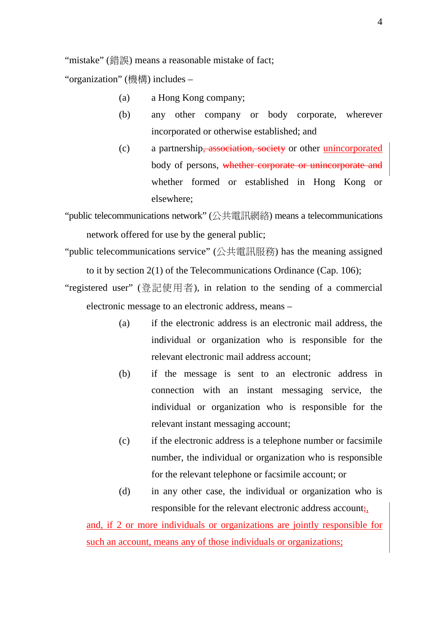"mistake" (錯誤) means a reasonable mistake of fact;

"organization" (機構) includes –

- (a) a Hong Kong company;
- (b) any other company or body corporate, wherever incorporated or otherwise established; and
- (c) a partnership, association, society or other unincorporated body of persons, whether corporate or unincorporate and whether formed or established in Hong Kong or elsewhere;

"public telecommunications network" (公共電訊網絡) means a telecommunications network offered for use by the general public;

- "public telecommunications service" (公共電訊服務) has the meaning assigned to it by section 2(1) of the Telecommunications Ordinance (Cap. 106);
- "registered user" (登記使用者), in relation to the sending of a commercial electronic message to an electronic address, means –
	- (a) if the electronic address is an electronic mail address, the individual or organization who is responsible for the relevant electronic mail address account;
	- (b) if the message is sent to an electronic address in connection with an instant messaging service, the individual or organization who is responsible for the relevant instant messaging account;
	- (c) if the electronic address is a telephone number or facsimile number, the individual or organization who is responsible for the relevant telephone or facsimile account; or
	- (d) in any other case, the individual or organization who is responsible for the relevant electronic address account;

and, if 2 or more individuals or organizations are jointly responsible for such an account, means any of those individuals or organizations;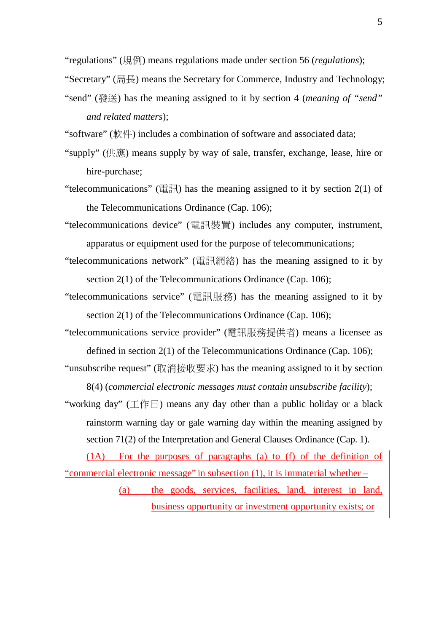"regulations" (規例) means regulations made under section 56 (*regulations*);

"Secretary" (局長) means the Secretary for Commerce, Industry and Technology;

- "send" (發送) has the meaning assigned to it by section 4 (*meaning of "send" and related matters*);
- "software" (軟件) includes a combination of software and associated data;
- "supply" (供應) means supply by way of sale, transfer, exchange, lease, hire or hire-purchase;
- "telecommunications" (電訊) has the meaning assigned to it by section 2(1) of the Telecommunications Ordinance (Cap. 106);
- "telecommunications device" (電訊裝置) includes any computer, instrument, apparatus or equipment used for the purpose of telecommunications;
- "telecommunications network" (電訊網絡) has the meaning assigned to it by section 2(1) of the Telecommunications Ordinance (Cap. 106);
- "telecommunications service" (電訊服務) has the meaning assigned to it by section 2(1) of the Telecommunications Ordinance (Cap. 106);
- "telecommunications service provider" (電訊服務提供者) means a licensee as defined in section 2(1) of the Telecommunications Ordinance (Cap. 106);
- "unsubscribe request" (取消接收要求) has the meaning assigned to it by section 8(4) (*commercial electronic messages must contain unsubscribe facility*);
- "working day" (工作日) means any day other than a public holiday or a black rainstorm warning day or gale warning day within the meaning assigned by section 71(2) of the Interpretation and General Clauses Ordinance (Cap. 1).

(1A) For the purposes of paragraphs (a) to (f) of the definition of "commercial electronic message" in subsection (1), it is immaterial whether –

> (a) the goods, services, facilities, land, interest in land, business opportunity or investment opportunity exists; or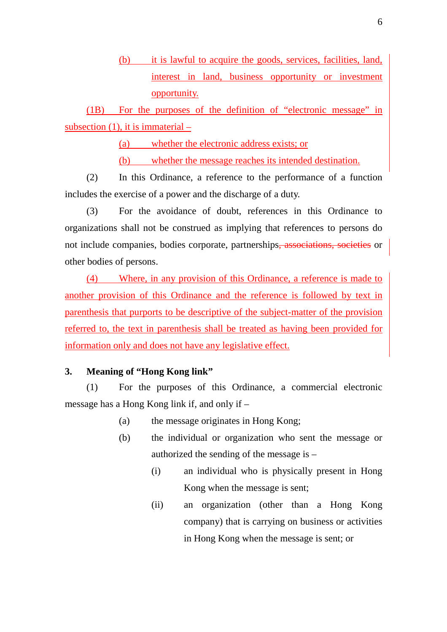(b) it is lawful to acquire the goods, services, facilities, land, interest in land, business opportunity or investment opportunity.

(1B) For the purposes of the definition of "electronic message" in subsection (1), it is immaterial –

(a) whether the electronic address exists; or

(b) whether the message reaches its intended destination.

(2) In this Ordinance, a reference to the performance of a function includes the exercise of a power and the discharge of a duty.

(3) For the avoidance of doubt, references in this Ordinance to organizations shall not be construed as implying that references to persons do not include companies, bodies corporate, partnerships, associations, societies or other bodies of persons.

(4) Where, in any provision of this Ordinance, a reference is made to another provision of this Ordinance and the reference is followed by text in parenthesis that purports to be descriptive of the subject-matter of the provision referred to, the text in parenthesis shall be treated as having been provided for information only and does not have any legislative effect.

## **3. Meaning of "Hong Kong link"**

(1) For the purposes of this Ordinance, a commercial electronic message has a Hong Kong link if, and only if –

- (a) the message originates in Hong Kong;
- (b) the individual or organization who sent the message or authorized the sending of the message is –
	- (i) an individual who is physically present in Hong Kong when the message is sent;
	- (ii) an organization (other than a Hong Kong company) that is carrying on business or activities in Hong Kong when the message is sent; or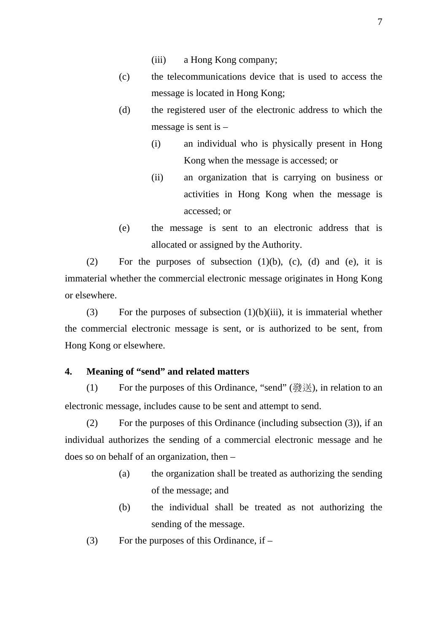- (iii) a Hong Kong company;
- (c) the telecommunications device that is used to access the message is located in Hong Kong;
- (d) the registered user of the electronic address to which the message is sent is –
	- (i) an individual who is physically present in Hong Kong when the message is accessed; or
	- (ii) an organization that is carrying on business or activities in Hong Kong when the message is accessed; or
- (e) the message is sent to an electronic address that is allocated or assigned by the Authority.

(2) For the purposes of subsection  $(1)(b)$ ,  $(c)$ ,  $(d)$  and  $(e)$ , it is immaterial whether the commercial electronic message originates in Hong Kong or elsewhere.

(3) For the purposes of subsection  $(1)(b)(iii)$ , it is immaterial whether the commercial electronic message is sent, or is authorized to be sent, from Hong Kong or elsewhere.

### **4. Meaning of "send" and related matters**

(1) For the purposes of this Ordinance, "send" (發送), in relation to an electronic message, includes cause to be sent and attempt to send.

(2) For the purposes of this Ordinance (including subsection (3)), if an individual authorizes the sending of a commercial electronic message and he does so on behalf of an organization, then –

- (a) the organization shall be treated as authorizing the sending of the message; and
- (b) the individual shall be treated as not authorizing the sending of the message.
- (3) For the purposes of this Ordinance, if  $-$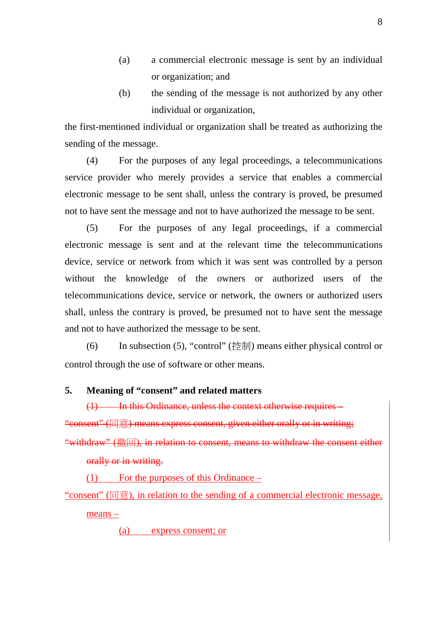- (a) a commercial electronic message is sent by an individual or organization; and
- (b) the sending of the message is not authorized by any other individual or organization,

the first-mentioned individual or organization shall be treated as authorizing the sending of the message.

(4) For the purposes of any legal proceedings, a telecommunications service provider who merely provides a service that enables a commercial electronic message to be sent shall, unless the contrary is proved, be presumed not to have sent the message and not to have authorized the message to be sent.

(5) For the purposes of any legal proceedings, if a commercial electronic message is sent and at the relevant time the telecommunications device, service or network from which it was sent was controlled by a person without the knowledge of the owners or authorized users of the telecommunications device, service or network, the owners or authorized users shall, unless the contrary is proved, be presumed not to have sent the message and not to have authorized the message to be sent.

(6) In subsection (5), "control" (控制) means either physical control or control through the use of software or other means.

# **5. Meaning of "consent" and related matters**

(1) In this Ordinance, unless the context otherwise requires – "consent" (同意) means express consent, given either orally or in writing; "withdraw" (撤回), in relation to consent, means to withdraw the consent either orally or in writing.

(1) For the purposes of this Ordinance –

"consent" (同意), in relation to the sending of a commercial electronic message,

means –

(a) express consent; or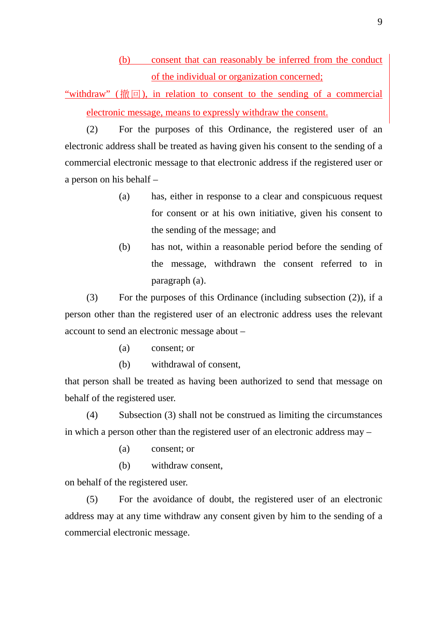(b) consent that can reasonably be inferred from the conduct of the individual or organization concerned;

"withdraw" (撤回), in relation to consent to the sending of a commercial electronic message, means to expressly withdraw the consent.

(2) For the purposes of this Ordinance, the registered user of an electronic address shall be treated as having given his consent to the sending of a commercial electronic message to that electronic address if the registered user or a person on his behalf –

- (a) has, either in response to a clear and conspicuous request for consent or at his own initiative, given his consent to the sending of the message; and
- (b) has not, within a reasonable period before the sending of the message, withdrawn the consent referred to in paragraph (a).

(3) For the purposes of this Ordinance (including subsection (2)), if a person other than the registered user of an electronic address uses the relevant account to send an electronic message about –

- (a) consent; or
- (b) withdrawal of consent,

that person shall be treated as having been authorized to send that message on behalf of the registered user.

(4) Subsection (3) shall not be construed as limiting the circumstances in which a person other than the registered user of an electronic address may –

- (a) consent; or
- (b) withdraw consent,

on behalf of the registered user.

(5) For the avoidance of doubt, the registered user of an electronic address may at any time withdraw any consent given by him to the sending of a commercial electronic message.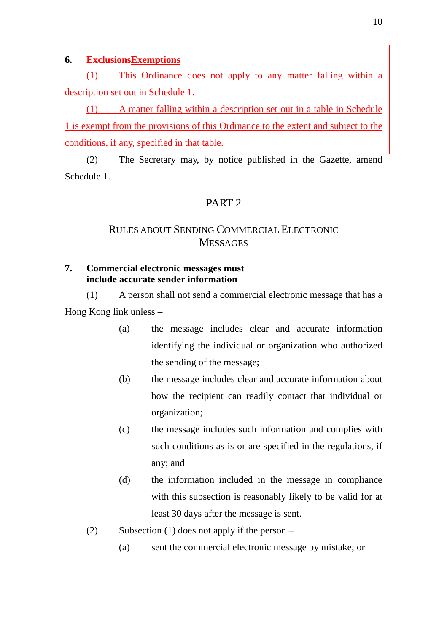## **6. ExclusionsExemptions**

(1) This Ordinance does not apply to any matter falling within a description set out in Schedule 1.

(1) A matter falling within a description set out in a table in Schedule 1 is exempt from the provisions of this Ordinance to the extent and subject to the conditions, if any, specified in that table.

(2) The Secretary may, by notice published in the Gazette, amend Schedule 1.

# PART 2

# RULES ABOUT SENDING COMMERCIAL ELECTRONIC **MESSAGES**

# **7. Commercial electronic messages must include accurate sender information**

(1) A person shall not send a commercial electronic message that has a Hong Kong link unless –

- (a) the message includes clear and accurate information identifying the individual or organization who authorized the sending of the message;
- (b) the message includes clear and accurate information about how the recipient can readily contact that individual or organization;
- (c) the message includes such information and complies with such conditions as is or are specified in the regulations, if any; and
- (d) the information included in the message in compliance with this subsection is reasonably likely to be valid for at least 30 days after the message is sent.
- (2) Subsection (1) does not apply if the person
	- (a) sent the commercial electronic message by mistake; or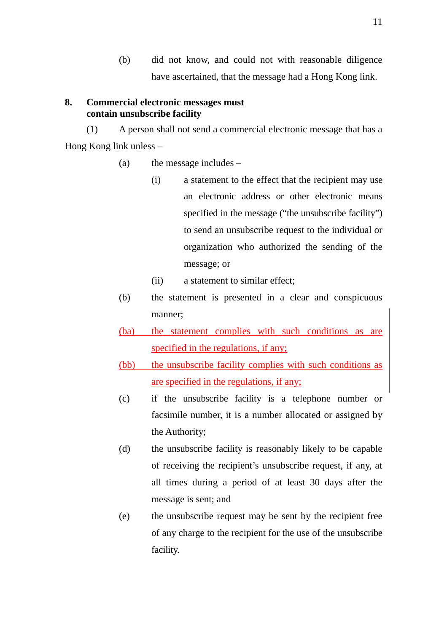(b) did not know, and could not with reasonable diligence have ascertained, that the message had a Hong Kong link.

# **8. Commercial electronic messages must contain unsubscribe facility**

(1) A person shall not send a commercial electronic message that has a Hong Kong link unless –

- (a) the message includes
	- (i) a statement to the effect that the recipient may use an electronic address or other electronic means specified in the message ("the unsubscribe facility") to send an unsubscribe request to the individual or organization who authorized the sending of the message; or
	- (ii) a statement to similar effect;
- (b) the statement is presented in a clear and conspicuous manner;
- (ba) the statement complies with such conditions as are specified in the regulations, if any;
- (bb) the unsubscribe facility complies with such conditions as are specified in the regulations, if any;
- (c) if the unsubscribe facility is a telephone number or facsimile number, it is a number allocated or assigned by the Authority;
- (d) the unsubscribe facility is reasonably likely to be capable of receiving the recipient's unsubscribe request, if any, at all times during a period of at least 30 days after the message is sent; and
- (e) the unsubscribe request may be sent by the recipient free of any charge to the recipient for the use of the unsubscribe facility.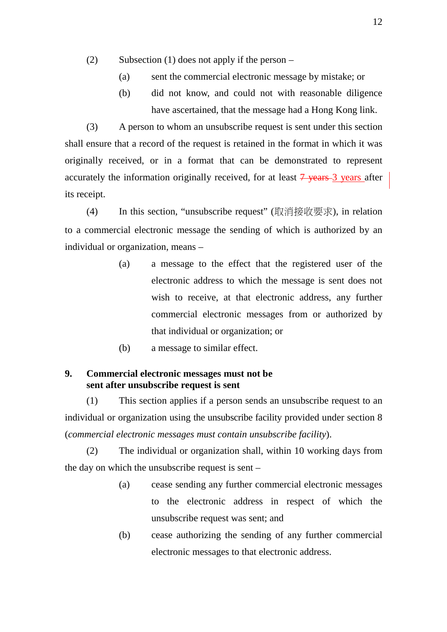- (2) Subsection (1) does not apply if the person
	- (a) sent the commercial electronic message by mistake; or
	- (b) did not know, and could not with reasonable diligence have ascertained, that the message had a Hong Kong link.

(3) A person to whom an unsubscribe request is sent under this section shall ensure that a record of the request is retained in the format in which it was originally received, or in a format that can be demonstrated to represent accurately the information originally received, for at least  $\frac{7}{9}$  years after its receipt.

(4) In this section, "unsubscribe request" (取消接收要求), in relation to a commercial electronic message the sending of which is authorized by an individual or organization, means –

- (a) a message to the effect that the registered user of the electronic address to which the message is sent does not wish to receive, at that electronic address, any further commercial electronic messages from or authorized by that individual or organization; or
- (b) a message to similar effect.

# **9. Commercial electronic messages must not be sent after unsubscribe request is sent**

(1) This section applies if a person sends an unsubscribe request to an individual or organization using the unsubscribe facility provided under section 8 (*commercial electronic messages must contain unsubscribe facility*).

(2) The individual or organization shall, within 10 working days from the day on which the unsubscribe request is sent –

- (a) cease sending any further commercial electronic messages to the electronic address in respect of which the unsubscribe request was sent; and
- (b) cease authorizing the sending of any further commercial electronic messages to that electronic address.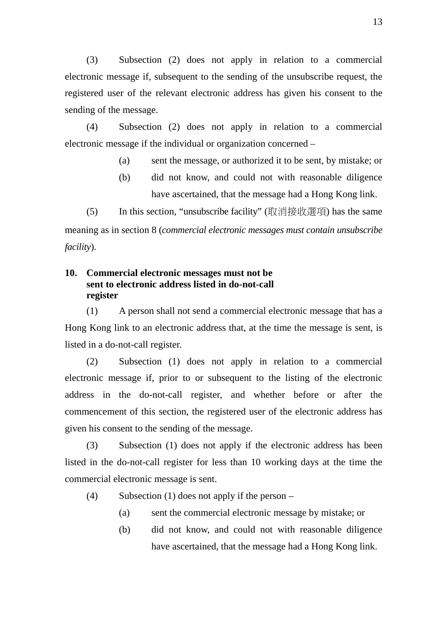(3) Subsection (2) does not apply in relation to a commercial electronic message if, subsequent to the sending of the unsubscribe request, the registered user of the relevant electronic address has given his consent to the sending of the message.

(4) Subsection (2) does not apply in relation to a commercial electronic message if the individual or organization concerned –

- (a) sent the message, or authorized it to be sent, by mistake; or
- (b) did not know, and could not with reasonable diligence have ascertained, that the message had a Hong Kong link.

(5) In this section, "unsubscribe facility" (取消接收選項) has the same meaning as in section 8 (*commercial electronic messages must contain unsubscribe facility*).

# **10. Commercial electronic messages must not be sent to electronic address listed in do-not-call register**

(1) A person shall not send a commercial electronic message that has a Hong Kong link to an electronic address that, at the time the message is sent, is listed in a do-not-call register.

(2) Subsection (1) does not apply in relation to a commercial electronic message if, prior to or subsequent to the listing of the electronic address in the do-not-call register, and whether before or after the commencement of this section, the registered user of the electronic address has given his consent to the sending of the message.

(3) Subsection (1) does not apply if the electronic address has been listed in the do-not-call register for less than 10 working days at the time the commercial electronic message is sent.

- (4) Subsection (1) does not apply if the person
	- (a) sent the commercial electronic message by mistake; or
	- (b) did not know, and could not with reasonable diligence have ascertained, that the message had a Hong Kong link.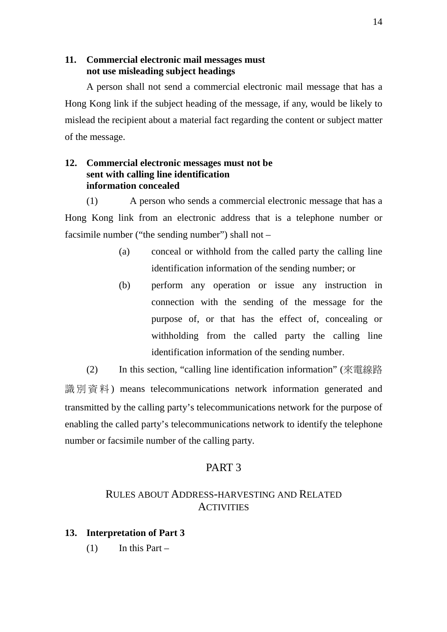# **11. Commercial electronic mail messages must not use misleading subject headings**

A person shall not send a commercial electronic mail message that has a Hong Kong link if the subject heading of the message, if any, would be likely to mislead the recipient about a material fact regarding the content or subject matter of the message.

# **12. Commercial electronic messages must not be sent with calling line identification information concealed**

(1) A person who sends a commercial electronic message that has a Hong Kong link from an electronic address that is a telephone number or facsimile number ("the sending number") shall not –

- (a) conceal or withhold from the called party the calling line identification information of the sending number; or
- (b) perform any operation or issue any instruction in connection with the sending of the message for the purpose of, or that has the effect of, concealing or withholding from the called party the calling line identification information of the sending number.

(2) In this section, "calling line identification information" (來電線路 識別資料) means telecommunications network information generated and transmitted by the calling party's telecommunications network for the purpose of enabling the called party's telecommunications network to identify the telephone number or facsimile number of the calling party.

# PART 3

# RULES ABOUT ADDRESS-HARVESTING AND RELATED **ACTIVITIES**

# **13. Interpretation of Part 3**

 $(1)$  In this Part –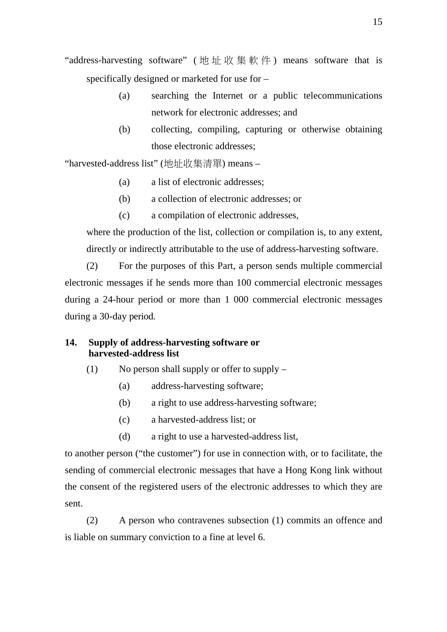"address-harvesting software" (地址收集軟件) means software that is specifically designed or marketed for use for –

- (a) searching the Internet or a public telecommunications network for electronic addresses; and
- (b) collecting, compiling, capturing or otherwise obtaining those electronic addresses;

"harvested-address list" (地址收集清單) means –

- (a) a list of electronic addresses;
- (b) a collection of electronic addresses; or
- (c) a compilation of electronic addresses,

where the production of the list, collection or compilation is, to any extent, directly or indirectly attributable to the use of address-harvesting software.

(2) For the purposes of this Part, a person sends multiple commercial electronic messages if he sends more than 100 commercial electronic messages during a 24-hour period or more than 1 000 commercial electronic messages during a 30-day period.

# **14. Supply of address-harvesting software or harvested-address list**

- (1) No person shall supply or offer to supply
	- (a) address-harvesting software;
	- (b) a right to use address-harvesting software;
	- (c) a harvested-address list; or
	- (d) a right to use a harvested-address list,

to another person ("the customer") for use in connection with, or to facilitate, the sending of commercial electronic messages that have a Hong Kong link without the consent of the registered users of the electronic addresses to which they are sent.

(2) A person who contravenes subsection (1) commits an offence and is liable on summary conviction to a fine at level 6.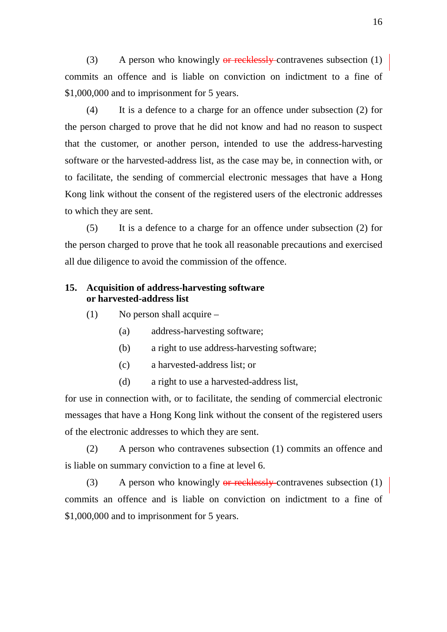(3) A person who knowingly  $\theta$  recklessly contravenes subsection (1) commits an offence and is liable on conviction on indictment to a fine of \$1,000,000 and to imprisonment for 5 years.

(4) It is a defence to a charge for an offence under subsection (2) for the person charged to prove that he did not know and had no reason to suspect that the customer, or another person, intended to use the address-harvesting software or the harvested-address list, as the case may be, in connection with, or to facilitate, the sending of commercial electronic messages that have a Hong Kong link without the consent of the registered users of the electronic addresses to which they are sent.

(5) It is a defence to a charge for an offence under subsection (2) for the person charged to prove that he took all reasonable precautions and exercised all due diligence to avoid the commission of the offence.

# **15. Acquisition of address-harvesting software or harvested-address list**

- (1) No person shall acquire
	- (a) address-harvesting software;
	- (b) a right to use address-harvesting software;
	- (c) a harvested-address list; or
	- (d) a right to use a harvested-address list,

for use in connection with, or to facilitate, the sending of commercial electronic messages that have a Hong Kong link without the consent of the registered users of the electronic addresses to which they are sent.

(2) A person who contravenes subsection (1) commits an offence and is liable on summary conviction to a fine at level 6.

(3) A person who knowingly  $\theta$ r recklessly contravenes subsection (1) commits an offence and is liable on conviction on indictment to a fine of \$1,000,000 and to imprisonment for 5 years.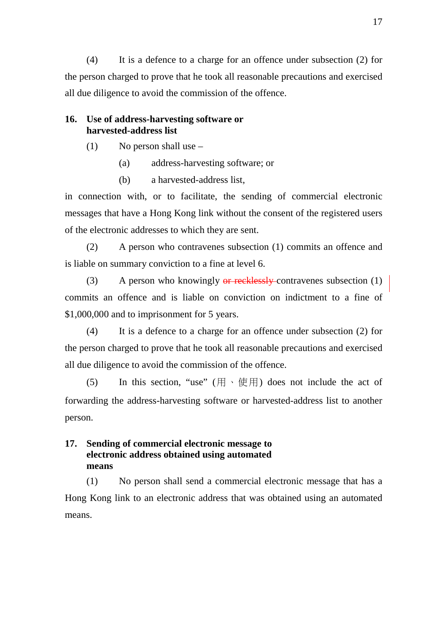(4) It is a defence to a charge for an offence under subsection (2) for the person charged to prove that he took all reasonable precautions and exercised all due diligence to avoid the commission of the offence.

# **16. Use of address-harvesting software or harvested-address list**

- $(1)$  No person shall use
	- (a) address-harvesting software; or
	- (b) a harvested-address list,

in connection with, or to facilitate, the sending of commercial electronic messages that have a Hong Kong link without the consent of the registered users of the electronic addresses to which they are sent.

(2) A person who contravenes subsection (1) commits an offence and is liable on summary conviction to a fine at level 6.

(3) A person who knowingly  $\theta$ r recklessly contravenes subsection (1) commits an offence and is liable on conviction on indictment to a fine of \$1,000,000 and to imprisonment for 5 years.

(4) It is a defence to a charge for an offence under subsection (2) for the person charged to prove that he took all reasonable precautions and exercised all due diligence to avoid the commission of the offence.

(5) In this section, "use" ( $\boxplus \cdot \text{ } \oplus \text{ } \boxplus$ ) does not include the act of forwarding the address-harvesting software or harvested-address list to another person.

# **17. Sending of commercial electronic message to electronic address obtained using automated means**

(1) No person shall send a commercial electronic message that has a Hong Kong link to an electronic address that was obtained using an automated means.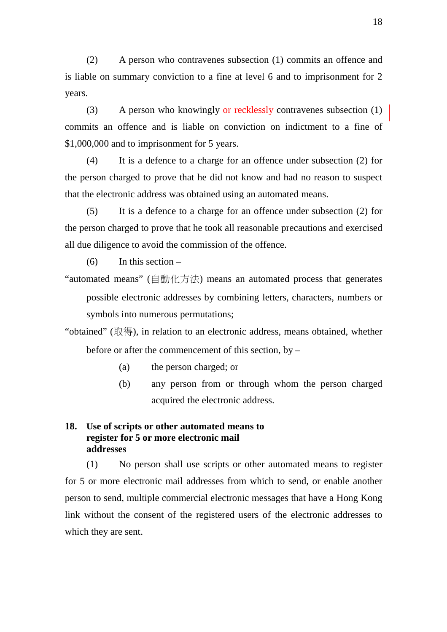(2) A person who contravenes subsection (1) commits an offence and is liable on summary conviction to a fine at level 6 and to imprisonment for 2 years.

(3) A person who knowingly  $\theta$  recklessly contravenes subsection (1) commits an offence and is liable on conviction on indictment to a fine of \$1,000,000 and to imprisonment for 5 years.

(4) It is a defence to a charge for an offence under subsection (2) for the person charged to prove that he did not know and had no reason to suspect that the electronic address was obtained using an automated means.

(5) It is a defence to a charge for an offence under subsection (2) for the person charged to prove that he took all reasonable precautions and exercised all due diligence to avoid the commission of the offence.

 $(6)$  In this section –

"automated means" (自動化方法) means an automated process that generates possible electronic addresses by combining letters, characters, numbers or symbols into numerous permutations;

"obtained" (取得), in relation to an electronic address, means obtained, whether before or after the commencement of this section, by –

- (a) the person charged; or
- (b) any person from or through whom the person charged acquired the electronic address.

# **18. Use of scripts or other automated means to register for 5 or more electronic mail addresses**

(1) No person shall use scripts or other automated means to register for 5 or more electronic mail addresses from which to send, or enable another person to send, multiple commercial electronic messages that have a Hong Kong link without the consent of the registered users of the electronic addresses to which they are sent.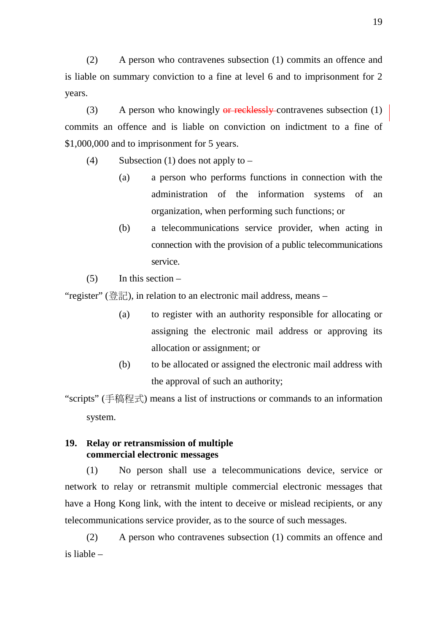(2) A person who contravenes subsection (1) commits an offence and is liable on summary conviction to a fine at level 6 and to imprisonment for 2 years.

(3) A person who knowingly  $\theta$  recklessly contravenes subsection (1) commits an offence and is liable on conviction on indictment to a fine of \$1,000,000 and to imprisonment for 5 years.

- (4) Subsection (1) does not apply to  $-$ 
	- (a) a person who performs functions in connection with the administration of the information systems of an organization, when performing such functions; or
	- (b) a telecommunications service provider, when acting in connection with the provision of a public telecommunications service.
- $(5)$  In this section –

"register" (登記), in relation to an electronic mail address, means –

- (a) to register with an authority responsible for allocating or assigning the electronic mail address or approving its allocation or assignment; or
- (b) to be allocated or assigned the electronic mail address with the approval of such an authority;

"scripts" (手稿程式) means a list of instructions or commands to an information system.

# **19. Relay or retransmission of multiple commercial electronic messages**

(1) No person shall use a telecommunications device, service or network to relay or retransmit multiple commercial electronic messages that have a Hong Kong link, with the intent to deceive or mislead recipients, or any telecommunications service provider, as to the source of such messages.

(2) A person who contravenes subsection (1) commits an offence and is liable –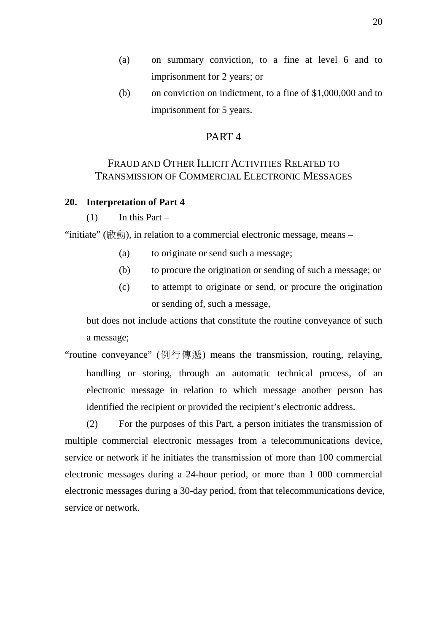- (a) on summary conviction, to a fine at level 6 and to imprisonment for 2 years; or
- (b) on conviction on indictment, to a fine of \$1,000,000 and to imprisonment for 5 years.

# PART 4

# FRAUD AND OTHER ILLICIT ACTIVITIES RELATED TO TRANSMISSION OF COMMERCIAL ELECTRONIC MESSAGES

## **20. Interpretation of Part 4**

 $(1)$  In this Part –

"initiate" (啟動), in relation to a commercial electronic message, means –

- (a) to originate or send such a message;
- (b) to procure the origination or sending of such a message; or
- (c) to attempt to originate or send, or procure the origination or sending of, such a message,

but does not include actions that constitute the routine conveyance of such a message;

"routine conveyance" (例行傳遞) means the transmission, routing, relaying, handling or storing, through an automatic technical process, of an electronic message in relation to which message another person has identified the recipient or provided the recipient's electronic address.

(2) For the purposes of this Part, a person initiates the transmission of multiple commercial electronic messages from a telecommunications device, service or network if he initiates the transmission of more than 100 commercial electronic messages during a 24-hour period, or more than 1 000 commercial electronic messages during a 30-day period, from that telecommunications device, service or network.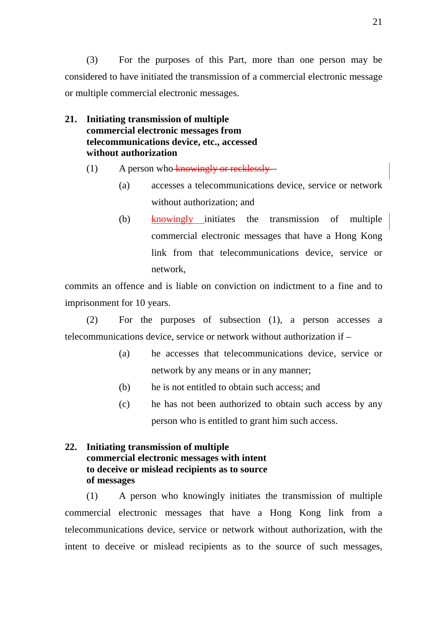(3) For the purposes of this Part, more than one person may be considered to have initiated the transmission of a commercial electronic message or multiple commercial electronic messages.

- **21. Initiating transmission of multiple commercial electronic messages from telecommunications device, etc., accessed without authorization** 
	- (1) A person who knowingly or recklessly
		- (a) accesses a telecommunications device, service or network without authorization; and
		- (b) knowingly initiates the transmission of multiple commercial electronic messages that have a Hong Kong link from that telecommunications device, service or network,

commits an offence and is liable on conviction on indictment to a fine and to imprisonment for 10 years.

(2) For the purposes of subsection (1), a person accesses a telecommunications device, service or network without authorization if –

- (a) he accesses that telecommunications device, service or network by any means or in any manner;
- (b) he is not entitled to obtain such access; and
- (c) he has not been authorized to obtain such access by any person who is entitled to grant him such access.

# **22. Initiating transmission of multiple commercial electronic messages with intent to deceive or mislead recipients as to source of messages**

(1) A person who knowingly initiates the transmission of multiple commercial electronic messages that have a Hong Kong link from a telecommunications device, service or network without authorization, with the intent to deceive or mislead recipients as to the source of such messages,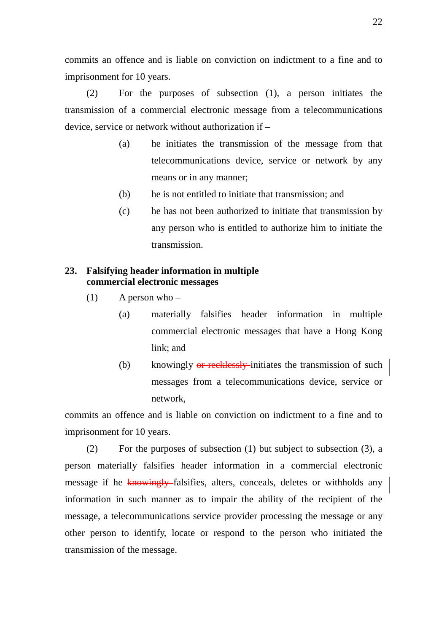commits an offence and is liable on conviction on indictment to a fine and to imprisonment for 10 years.

(2) For the purposes of subsection (1), a person initiates the transmission of a commercial electronic message from a telecommunications device, service or network without authorization if –

- (a) he initiates the transmission of the message from that telecommunications device, service or network by any means or in any manner;
- (b) he is not entitled to initiate that transmission; and
- (c) he has not been authorized to initiate that transmission by any person who is entitled to authorize him to initiate the transmission.

# **23. Falsifying header information in multiple commercial electronic messages**

- $(1)$  A person who
	- (a) materially falsifies header information in multiple commercial electronic messages that have a Hong Kong link; and
	- (b) knowingly  $\theta$  recklessly-initiates the transmission of such messages from a telecommunications device, service or network,

commits an offence and is liable on conviction on indictment to a fine and to imprisonment for 10 years.

(2) For the purposes of subsection (1) but subject to subsection (3), a person materially falsifies header information in a commercial electronic message if he knowingly falsifies, alters, conceals, deletes or withholds any information in such manner as to impair the ability of the recipient of the message, a telecommunications service provider processing the message or any other person to identify, locate or respond to the person who initiated the transmission of the message.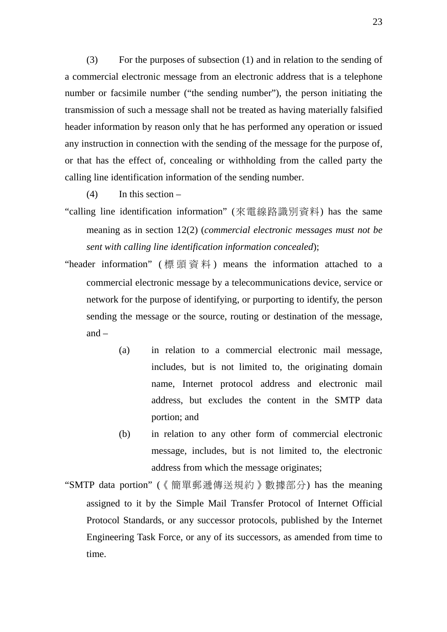(3) For the purposes of subsection (1) and in relation to the sending of a commercial electronic message from an electronic address that is a telephone number or facsimile number ("the sending number"), the person initiating the transmission of such a message shall not be treated as having materially falsified header information by reason only that he has performed any operation or issued any instruction in connection with the sending of the message for the purpose of, or that has the effect of, concealing or withholding from the called party the calling line identification information of the sending number.

 $(4)$  In this section –

- "calling line identification information" (來電線路識別資料) has the same meaning as in section 12(2) (*commercial electronic messages must not be sent with calling line identification information concealed*);
- "header information" ( 標頭資料 ) means the information attached to a commercial electronic message by a telecommunications device, service or network for the purpose of identifying, or purporting to identify, the person sending the message or the source, routing or destination of the message, and –
	- (a) in relation to a commercial electronic mail message, includes, but is not limited to, the originating domain name, Internet protocol address and electronic mail address, but excludes the content in the SMTP data portion; and
	- (b) in relation to any other form of commercial electronic message, includes, but is not limited to, the electronic address from which the message originates;
- "SMTP data portion" (《簡單郵遞傳送規約》數據部分) has the meaning assigned to it by the Simple Mail Transfer Protocol of Internet Official Protocol Standards, or any successor protocols, published by the Internet Engineering Task Force, or any of its successors, as amended from time to time.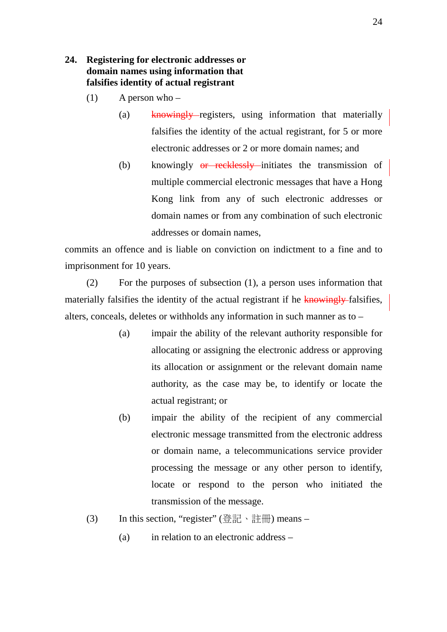# **24. Registering for electronic addresses or domain names using information that falsifies identity of actual registrant**

- $(1)$  A person who
	- (a) knowingly registers, using information that materially falsifies the identity of the actual registrant, for 5 or more electronic addresses or 2 or more domain names; and
	- (b) knowingly  $\theta$ **r** recklessly initiates the transmission of multiple commercial electronic messages that have a Hong Kong link from any of such electronic addresses or domain names or from any combination of such electronic addresses or domain names,

commits an offence and is liable on conviction on indictment to a fine and to imprisonment for 10 years.

(2) For the purposes of subsection (1), a person uses information that materially falsifies the identity of the actual registrant if he knowingly-falsifies, alters, conceals, deletes or withholds any information in such manner as to –

- (a) impair the ability of the relevant authority responsible for allocating or assigning the electronic address or approving its allocation or assignment or the relevant domain name authority, as the case may be, to identify or locate the actual registrant; or
- (b) impair the ability of the recipient of any commercial electronic message transmitted from the electronic address or domain name, a telecommunications service provider processing the message or any other person to identify, locate or respond to the person who initiated the transmission of the message.
- (3) In this section, "register" (登記、註冊) means
	- (a) in relation to an electronic address –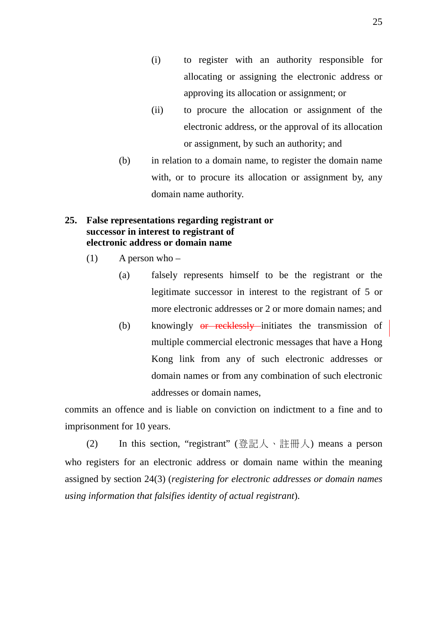- (i) to register with an authority responsible for allocating or assigning the electronic address or approving its allocation or assignment; or
- (ii) to procure the allocation or assignment of the electronic address, or the approval of its allocation or assignment, by such an authority; and
- (b) in relation to a domain name, to register the domain name with, or to procure its allocation or assignment by, any domain name authority.

# **25. False representations regarding registrant or successor in interest to registrant of electronic address or domain name**

- $(1)$  A person who
	- (a) falsely represents himself to be the registrant or the legitimate successor in interest to the registrant of 5 or more electronic addresses or 2 or more domain names; and
	- (b) knowingly  $\theta$ **r** recklessly initiates the transmission of multiple commercial electronic messages that have a Hong Kong link from any of such electronic addresses or domain names or from any combination of such electronic addresses or domain names,

commits an offence and is liable on conviction on indictment to a fine and to imprisonment for 10 years.

(2) In this section, "registrant" (登記人、註冊人) means a person who registers for an electronic address or domain name within the meaning assigned by section 24(3) (*registering for electronic addresses or domain names using information that falsifies identity of actual registrant*).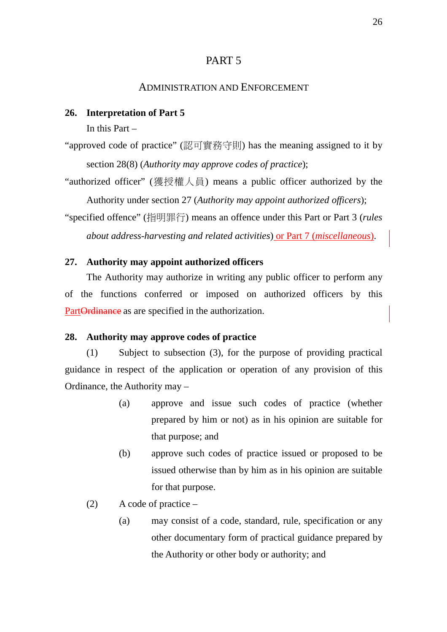# PART 5

## ADMINISTRATION AND ENFORCEMENT

## **26. Interpretation of Part 5**

In this Part –

"approved code of practice" (認可實務守則) has the meaning assigned to it by section 28(8) (*Authority may approve codes of practice*);

"authorized officer" (獲授權人員) means a public officer authorized by the Authority under section 27 (*Authority may appoint authorized officers*);

"specified offence" (指明罪行) means an offence under this Part or Part 3 (*rules about address-harvesting and related activities*) or Part 7 (*miscellaneous*).

## **27. Authority may appoint authorized officers**

The Authority may authorize in writing any public officer to perform any of the functions conferred or imposed on authorized officers by this PartOrdinance as are specified in the authorization.

## **28. Authority may approve codes of practice**

(1) Subject to subsection (3), for the purpose of providing practical guidance in respect of the application or operation of any provision of this Ordinance, the Authority may –

- (a) approve and issue such codes of practice (whether prepared by him or not) as in his opinion are suitable for that purpose; and
- (b) approve such codes of practice issued or proposed to be issued otherwise than by him as in his opinion are suitable for that purpose.
- (2) A code of practice
	- (a) may consist of a code, standard, rule, specification or any other documentary form of practical guidance prepared by the Authority or other body or authority; and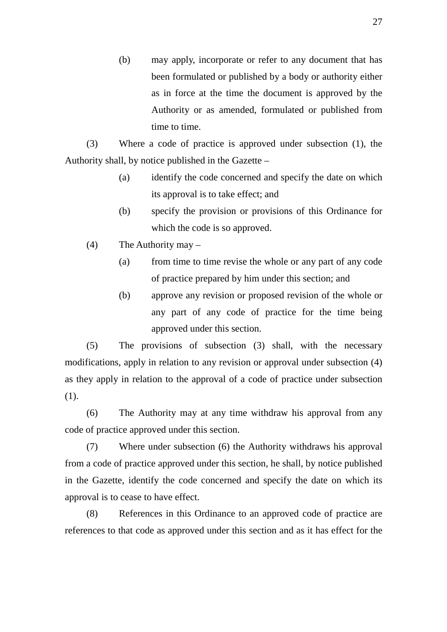(b) may apply, incorporate or refer to any document that has been formulated or published by a body or authority either as in force at the time the document is approved by the Authority or as amended, formulated or published from time to time.

(3) Where a code of practice is approved under subsection (1), the Authority shall, by notice published in the Gazette –

- (a) identify the code concerned and specify the date on which its approval is to take effect; and
- (b) specify the provision or provisions of this Ordinance for which the code is so approved.
- (4) The Authority may
	- (a) from time to time revise the whole or any part of any code of practice prepared by him under this section; and
	- (b) approve any revision or proposed revision of the whole or any part of any code of practice for the time being approved under this section.

(5) The provisions of subsection (3) shall, with the necessary modifications, apply in relation to any revision or approval under subsection (4) as they apply in relation to the approval of a code of practice under subsection (1).

(6) The Authority may at any time withdraw his approval from any code of practice approved under this section.

(7) Where under subsection (6) the Authority withdraws his approval from a code of practice approved under this section, he shall, by notice published in the Gazette, identify the code concerned and specify the date on which its approval is to cease to have effect.

(8) References in this Ordinance to an approved code of practice are references to that code as approved under this section and as it has effect for the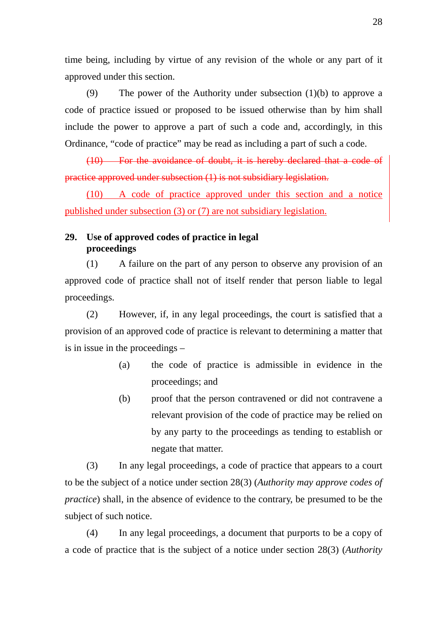time being, including by virtue of any revision of the whole or any part of it approved under this section.

(9) The power of the Authority under subsection (1)(b) to approve a code of practice issued or proposed to be issued otherwise than by him shall include the power to approve a part of such a code and, accordingly, in this Ordinance, "code of practice" may be read as including a part of such a code.

(10) For the avoidance of doubt, it is hereby declared that a code of practice approved under subsection (1) is not subsidiary legislation.

(10) A code of practice approved under this section and a notice published under subsection (3) or (7) are not subsidiary legislation.

# **29. Use of approved codes of practice in legal proceedings**

(1) A failure on the part of any person to observe any provision of an approved code of practice shall not of itself render that person liable to legal proceedings.

(2) However, if, in any legal proceedings, the court is satisfied that a provision of an approved code of practice is relevant to determining a matter that is in issue in the proceedings –

- (a) the code of practice is admissible in evidence in the proceedings; and
- (b) proof that the person contravened or did not contravene a relevant provision of the code of practice may be relied on by any party to the proceedings as tending to establish or negate that matter.

(3) In any legal proceedings, a code of practice that appears to a court to be the subject of a notice under section 28(3) (*Authority may approve codes of practice*) shall, in the absence of evidence to the contrary, be presumed to be the subject of such notice.

(4) In any legal proceedings, a document that purports to be a copy of a code of practice that is the subject of a notice under section 28(3) (*Authority*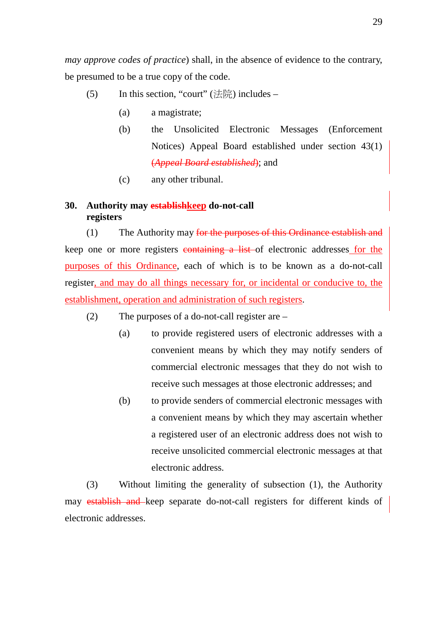*may approve codes of practice*) shall, in the absence of evidence to the contrary, be presumed to be a true copy of the code.

- (5) In this section, "court" (法院) includes
	- (a) a magistrate;
	- (b) the Unsolicited Electronic Messages (Enforcement Notices) Appeal Board established under section 43(1) (*Appeal Board established*); and
	- (c) any other tribunal.

# **30. Authority may establishkeep do-not-call registers**

(1) The Authority may for the purposes of this Ordinance establish and keep one or more registers containing a list of electronic addresses for the purposes of this Ordinance, each of which is to be known as a do-not-call register, and may do all things necessary for, or incidental or conducive to, the establishment, operation and administration of such registers.

- (2) The purposes of a do-not-call register are
	- (a) to provide registered users of electronic addresses with a convenient means by which they may notify senders of commercial electronic messages that they do not wish to receive such messages at those electronic addresses; and
	- (b) to provide senders of commercial electronic messages with a convenient means by which they may ascertain whether a registered user of an electronic address does not wish to receive unsolicited commercial electronic messages at that electronic address.

(3) Without limiting the generality of subsection (1), the Authority may establish and keep separate do-not-call registers for different kinds of electronic addresses.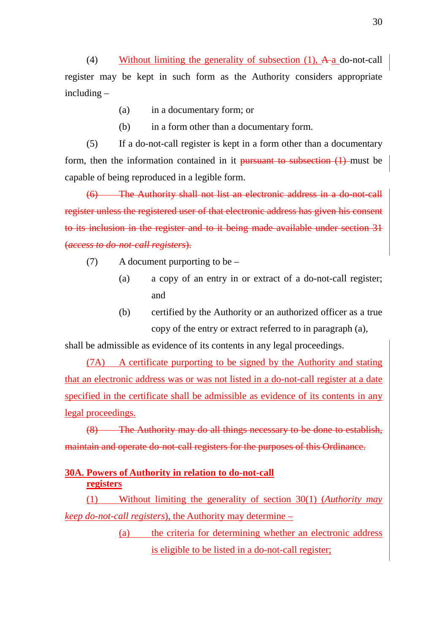(4) Without limiting the generality of subsection  $(1)$ ,  $\mathbf{A}$ -a do-not-call register may be kept in such form as the Authority considers appropriate including –

- (a) in a documentary form; or
- (b) in a form other than a documentary form.

(5) If a do-not-call register is kept in a form other than a documentary form, then the information contained in it pursuant to subsection (1) must be capable of being reproduced in a legible form.

(6) The Authority shall not list an electronic address in a do-not-call register unless the registered user of that electronic address has given his consent to its inclusion in the register and to it being made available under section 31 (*access to do-not-call registers*).

- (7) A document purporting to be
	- (a) a copy of an entry in or extract of a do-not-call register; and
	- (b) certified by the Authority or an authorized officer as a true copy of the entry or extract referred to in paragraph (a),

shall be admissible as evidence of its contents in any legal proceedings.

(7A) A certificate purporting to be signed by the Authority and stating that an electronic address was or was not listed in a do-not-call register at a date specified in the certificate shall be admissible as evidence of its contents in any legal proceedings.

(8) The Authority may do all things necessary to be done to establish, maintain and operate do-not-call registers for the purposes of this Ordinance.

# **30A. Powers of Authority in relation to do-not-call registers**

(1) Without limiting the generality of section 30(1) (*Authority may keep do-not-call registers*), the Authority may determine –

> (a) the criteria for determining whether an electronic address is eligible to be listed in a do-not-call register;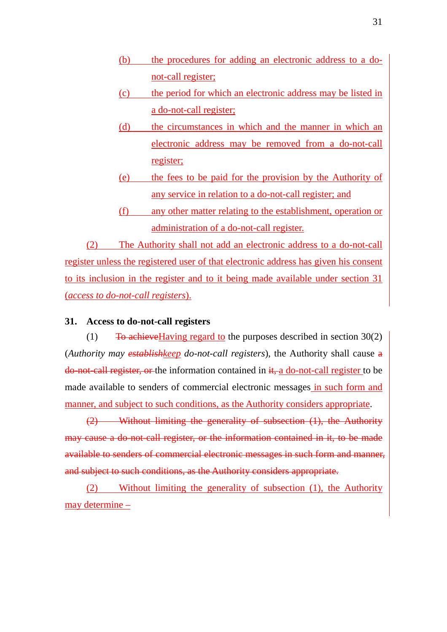- (b) the procedures for adding an electronic address to a donot-call register;
- (c) the period for which an electronic address may be listed in a do-not-call register;
- (d) the circumstances in which and the manner in which an electronic address may be removed from a do-not-call register;
- (e) the fees to be paid for the provision by the Authority of any service in relation to a do-not-call register; and
- (f) any other matter relating to the establishment, operation or administration of a do-not-call register.

(2) The Authority shall not add an electronic address to a do-not-call register unless the registered user of that electronic address has given his consent to its inclusion in the register and to it being made available under section 31 (*access to do-not-call registers*).

# **31. Access to do-not-call registers**

(1) To achieve Having regard to the purposes described in section  $30(2)$ (*Authority may establishkeep do-not-call registers*), the Authority shall cause a  $\frac{d\theta}{dt}$  and  $\frac{d\theta}{dt}$  register, or the information contained in  $\frac{d\theta}{dt}$  a do-not-call register to be made available to senders of commercial electronic messages in such form and manner, and subject to such conditions, as the Authority considers appropriate.

(2) Without limiting the generality of subsection (1), the Authority may cause a do-not-call register, or the information contained in it, to be made available to senders of commercial electronic messages in such form and manner, and subject to such conditions, as the Authority considers appropriate.

(2) Without limiting the generality of subsection (1), the Authority may determine –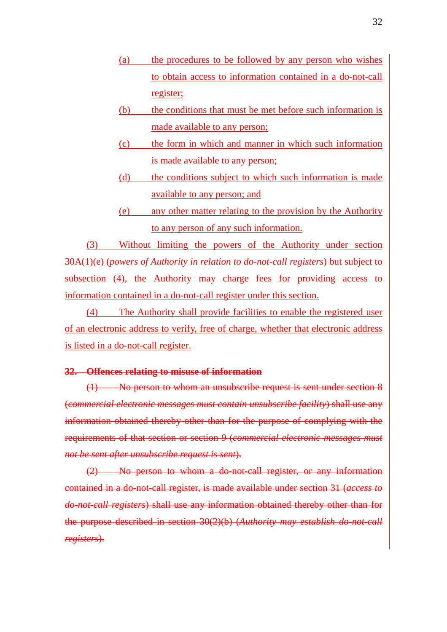- (a) the procedures to be followed by any person who wishes to obtain access to information contained in a do-not-call register;
- (b) the conditions that must be met before such information is made available to any person;
- (c) the form in which and manner in which such information is made available to any person;
- (d) the conditions subject to which such information is made available to any person; and
- (e) any other matter relating to the provision by the Authority to any person of any such information.

(3) Without limiting the powers of the Authority under section 30A(1)(e) (*powers of Authority in relation to do-not-call registers*) but subject to subsection (4), the Authority may charge fees for providing access to information contained in a do-not-call register under this section.

(4) The Authority shall provide facilities to enable the registered user of an electronic address to verify, free of charge, whether that electronic address is listed in a do-not-call register.

### **32. Offences relating to misuse of information**

(1) No person to whom an unsubscribe request is sent under section 8 (*commercial electronic messages must contain unsubscribe facility*) shall use any information obtained thereby other than for the purpose of complying with the requirements of that section or section 9 (*commercial electronic messages must not be sent after unsubscribe request is sent*).

(2) No person to whom a do-not-call register, or any information contained in a do-not-call register, is made available under section 31 (*access to do-not-call registers*) shall use any information obtained thereby other than for the purpose described in section 30(2)(b) (*Authority may establish do-not-call registers*).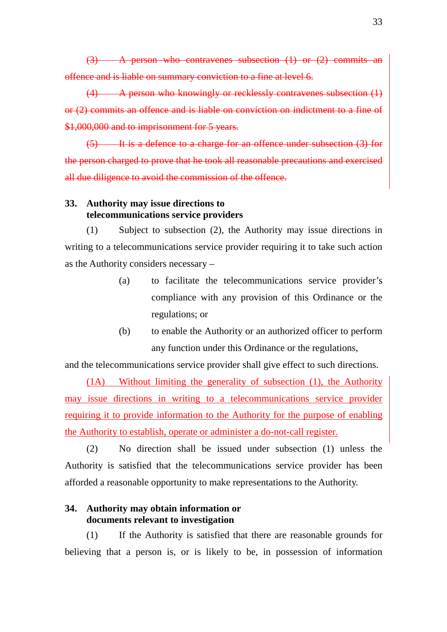(3) A person who contravenes subsection (1) or (2) commits an offence and is liable on summary conviction to a fine at level 6.

(4) A person who knowingly or recklessly contravenes subsection (1) or (2) commits an offence and is liable on conviction on indictment to a fine of \$1,000,000 and to imprisonment for 5 years.

(5) It is a defence to a charge for an offence under subsection (3) for the person charged to prove that he took all reasonable precautions and exercised all due diligence to avoid the commission of the offence.

# **33. Authority may issue directions to telecommunications service providers**

(1) Subject to subsection (2), the Authority may issue directions in writing to a telecommunications service provider requiring it to take such action as the Authority considers necessary –

- (a) to facilitate the telecommunications service provider's compliance with any provision of this Ordinance or the regulations; or
- (b) to enable the Authority or an authorized officer to perform any function under this Ordinance or the regulations,

and the telecommunications service provider shall give effect to such directions.

(1A) Without limiting the generality of subsection (1), the Authority may issue directions in writing to a telecommunications service provider requiring it to provide information to the Authority for the purpose of enabling the Authority to establish, operate or administer a do-not-call register.

(2) No direction shall be issued under subsection (1) unless the Authority is satisfied that the telecommunications service provider has been afforded a reasonable opportunity to make representations to the Authority.

# **34. Authority may obtain information or documents relevant to investigation**

(1) If the Authority is satisfied that there are reasonable grounds for believing that a person is, or is likely to be, in possession of information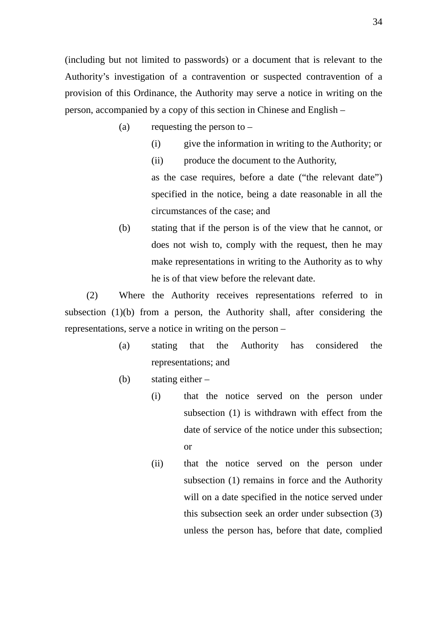(including but not limited to passwords) or a document that is relevant to the Authority's investigation of a contravention or suspected contravention of a provision of this Ordinance, the Authority may serve a notice in writing on the person, accompanied by a copy of this section in Chinese and English –

- (a) requesting the person to  $-$ 
	- (i) give the information in writing to the Authority; or

(ii) produce the document to the Authority, as the case requires, before a date ("the relevant date") specified in the notice, being a date reasonable in all the circumstances of the case; and

(b) stating that if the person is of the view that he cannot, or does not wish to, comply with the request, then he may make representations in writing to the Authority as to why he is of that view before the relevant date.

(2) Where the Authority receives representations referred to in subsection (1)(b) from a person, the Authority shall, after considering the representations, serve a notice in writing on the person –

- (a) stating that the Authority has considered the representations; and
- (b) stating either
	- (i) that the notice served on the person under subsection (1) is withdrawn with effect from the date of service of the notice under this subsection; or
	- (ii) that the notice served on the person under subsection (1) remains in force and the Authority will on a date specified in the notice served under this subsection seek an order under subsection (3) unless the person has, before that date, complied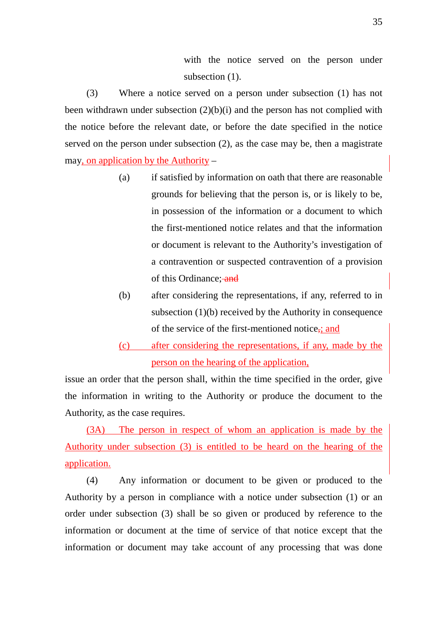with the notice served on the person under subsection  $(1)$ .

(3) Where a notice served on a person under subsection (1) has not been withdrawn under subsection  $(2)(b)(i)$  and the person has not complied with the notice before the relevant date, or before the date specified in the notice served on the person under subsection (2), as the case may be, then a magistrate may, on application by the Authority –

- (a) if satisfied by information on oath that there are reasonable grounds for believing that the person is, or is likely to be, in possession of the information or a document to which the first-mentioned notice relates and that the information or document is relevant to the Authority's investigation of a contravention or suspected contravention of a provision of this Ordinance: and
- (b) after considering the representations, if any, referred to in subsection (1)(b) received by the Authority in consequence of the service of the first-mentioned notice,; and
- (c) after considering the representations, if any, made by the person on the hearing of the application,

issue an order that the person shall, within the time specified in the order, give the information in writing to the Authority or produce the document to the Authority, as the case requires.

(3A) The person in respect of whom an application is made by the Authority under subsection (3) is entitled to be heard on the hearing of the application.

(4) Any information or document to be given or produced to the Authority by a person in compliance with a notice under subsection (1) or an order under subsection (3) shall be so given or produced by reference to the information or document at the time of service of that notice except that the information or document may take account of any processing that was done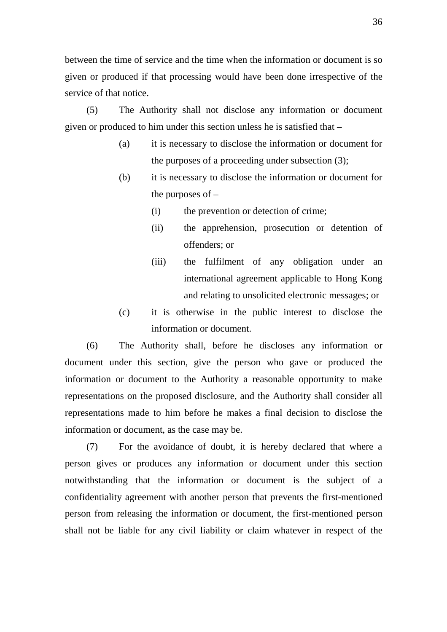between the time of service and the time when the information or document is so given or produced if that processing would have been done irrespective of the service of that notice.

(5) The Authority shall not disclose any information or document given or produced to him under this section unless he is satisfied that –

- (a) it is necessary to disclose the information or document for the purposes of a proceeding under subsection (3);
- (b) it is necessary to disclose the information or document for the purposes of  $-$ 
	- (i) the prevention or detection of crime;
	- (ii) the apprehension, prosecution or detention of offenders; or
	- (iii) the fulfilment of any obligation under an international agreement applicable to Hong Kong and relating to unsolicited electronic messages; or
- (c) it is otherwise in the public interest to disclose the information or document.

(6) The Authority shall, before he discloses any information or document under this section, give the person who gave or produced the information or document to the Authority a reasonable opportunity to make representations on the proposed disclosure, and the Authority shall consider all representations made to him before he makes a final decision to disclose the information or document, as the case may be.

(7) For the avoidance of doubt, it is hereby declared that where a person gives or produces any information or document under this section notwithstanding that the information or document is the subject of a confidentiality agreement with another person that prevents the first-mentioned person from releasing the information or document, the first-mentioned person shall not be liable for any civil liability or claim whatever in respect of the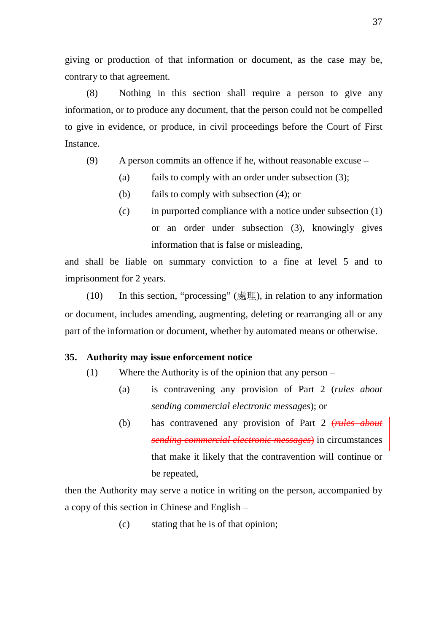giving or production of that information or document, as the case may be, contrary to that agreement.

(8) Nothing in this section shall require a person to give any information, or to produce any document, that the person could not be compelled to give in evidence, or produce, in civil proceedings before the Court of First Instance.

- (9) A person commits an offence if he, without reasonable excuse
	- (a) fails to comply with an order under subsection (3);
		- (b) fails to comply with subsection (4); or
		- (c) in purported compliance with a notice under subsection (1) or an order under subsection (3), knowingly gives information that is false or misleading,

and shall be liable on summary conviction to a fine at level 5 and to imprisonment for 2 years.

(10) In this section, "processing" (處理), in relation to any information or document, includes amending, augmenting, deleting or rearranging all or any part of the information or document, whether by automated means or otherwise.

## **35. Authority may issue enforcement notice**

- (1) Where the Authority is of the opinion that any person
	- (a) is contravening any provision of Part 2 (*rules about sending commercial electronic messages*); or
	- (b) has contravened any provision of Part 2 (*rules about sending commercial electronic messages*) in circumstances that make it likely that the contravention will continue or be repeated,

then the Authority may serve a notice in writing on the person, accompanied by a copy of this section in Chinese and English –

(c) stating that he is of that opinion;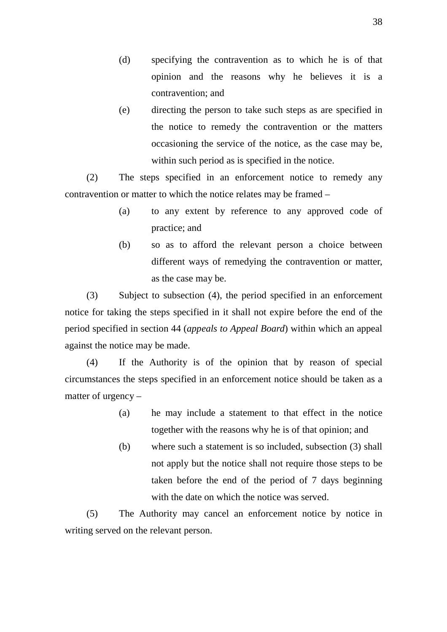- (d) specifying the contravention as to which he is of that opinion and the reasons why he believes it is a contravention; and
- (e) directing the person to take such steps as are specified in the notice to remedy the contravention or the matters occasioning the service of the notice, as the case may be, within such period as is specified in the notice.

(2) The steps specified in an enforcement notice to remedy any contravention or matter to which the notice relates may be framed –

- (a) to any extent by reference to any approved code of practice; and
- (b) so as to afford the relevant person a choice between different ways of remedying the contravention or matter, as the case may be.

(3) Subject to subsection (4), the period specified in an enforcement notice for taking the steps specified in it shall not expire before the end of the period specified in section 44 (*appeals to Appeal Board*) within which an appeal against the notice may be made.

(4) If the Authority is of the opinion that by reason of special circumstances the steps specified in an enforcement notice should be taken as a matter of urgency –

- (a) he may include a statement to that effect in the notice together with the reasons why he is of that opinion; and
- (b) where such a statement is so included, subsection (3) shall not apply but the notice shall not require those steps to be taken before the end of the period of 7 days beginning with the date on which the notice was served.

(5) The Authority may cancel an enforcement notice by notice in writing served on the relevant person.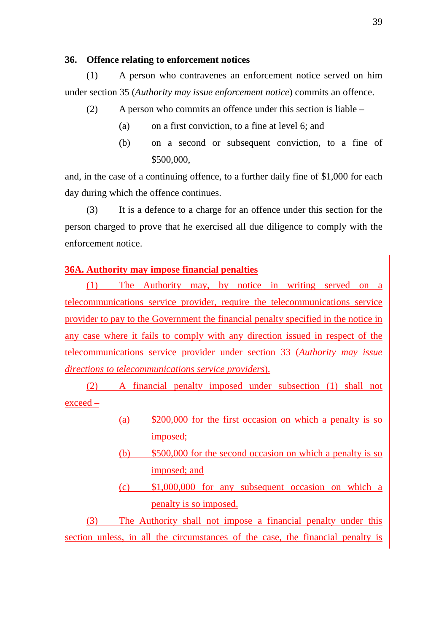## **36. Offence relating to enforcement notices**

(1) A person who contravenes an enforcement notice served on him under section 35 (*Authority may issue enforcement notice*) commits an offence.

- (2) A person who commits an offence under this section is liable
	- (a) on a first conviction, to a fine at level 6; and
	- (b) on a second or subsequent conviction, to a fine of \$500,000,

and, in the case of a continuing offence, to a further daily fine of \$1,000 for each day during which the offence continues.

(3) It is a defence to a charge for an offence under this section for the person charged to prove that he exercised all due diligence to comply with the enforcement notice.

# **36A. Authority may impose financial penalties**

(1) The Authority may, by notice in writing served on a telecommunications service provider, require the telecommunications service provider to pay to the Government the financial penalty specified in the notice in any case where it fails to comply with any direction issued in respect of the telecommunications service provider under section 33 (*Authority may issue directions to telecommunications service providers*).

(2) A financial penalty imposed under subsection (1) shall not exceed –

- (a) \$200,000 for the first occasion on which a penalty is so imposed;
- (b) \$500,000 for the second occasion on which a penalty is so imposed; and
- (c) \$1,000,000 for any subsequent occasion on which a penalty is so imposed.

(3) The Authority shall not impose a financial penalty under this section unless, in all the circumstances of the case, the financial penalty is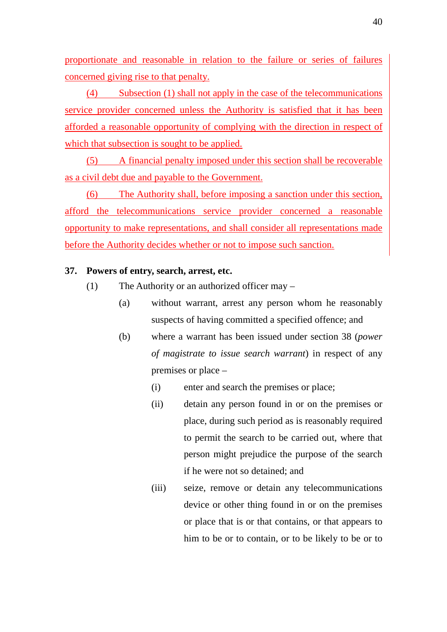proportionate and reasonable in relation to the failure or series of failures concerned giving rise to that penalty.

(4) Subsection (1) shall not apply in the case of the telecommunications service provider concerned unless the Authority is satisfied that it has been afforded a reasonable opportunity of complying with the direction in respect of which that subsection is sought to be applied.

(5) A financial penalty imposed under this section shall be recoverable as a civil debt due and payable to the Government.

(6) The Authority shall, before imposing a sanction under this section, afford the telecommunications service provider concerned a reasonable opportunity to make representations, and shall consider all representations made before the Authority decides whether or not to impose such sanction.

### **37. Powers of entry, search, arrest, etc.**

- (1) The Authority or an authorized officer may
	- (a) without warrant, arrest any person whom he reasonably suspects of having committed a specified offence; and
	- (b) where a warrant has been issued under section 38 (*power of magistrate to issue search warrant*) in respect of any premises or place –
		- (i) enter and search the premises or place;
		- (ii) detain any person found in or on the premises or place, during such period as is reasonably required to permit the search to be carried out, where that person might prejudice the purpose of the search if he were not so detained; and
		- (iii) seize, remove or detain any telecommunications device or other thing found in or on the premises or place that is or that contains, or that appears to him to be or to contain, or to be likely to be or to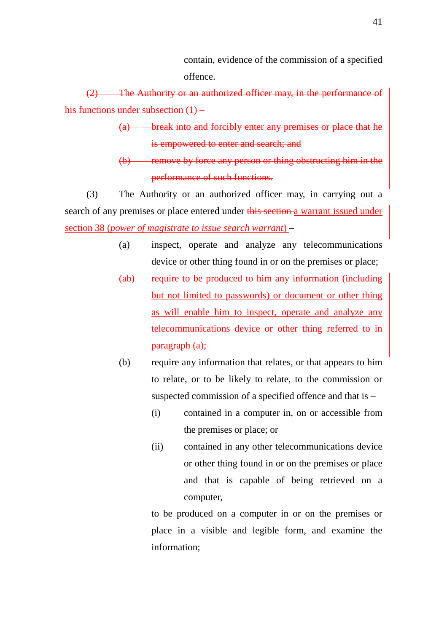contain, evidence of the commission of a specified offence.

(2) The Authority or an authorized officer may, in the performance of his functions under subsection (1) –

- (a) break into and forcibly enter any premises or place that he is empowered to enter and search; and
- (b) remove by force any person or thing obstructing him in the performance of such functions.

(3) The Authority or an authorized officer may, in carrying out a search of any premises or place entered under this section a warrant issued under section 38 (*power of magistrate to issue search warrant*) –

- (a) inspect, operate and analyze any telecommunications device or other thing found in or on the premises or place;
- (ab) require to be produced to him any information (including but not limited to passwords) or document or other thing as will enable him to inspect, operate and analyze any telecommunications device or other thing referred to in paragraph (a);
- (b) require any information that relates, or that appears to him to relate, or to be likely to relate, to the commission or suspected commission of a specified offence and that is –
	- (i) contained in a computer in, on or accessible from the premises or place; or
	- (ii) contained in any other telecommunications device or other thing found in or on the premises or place and that is capable of being retrieved on a computer,

to be produced on a computer in or on the premises or place in a visible and legible form, and examine the information;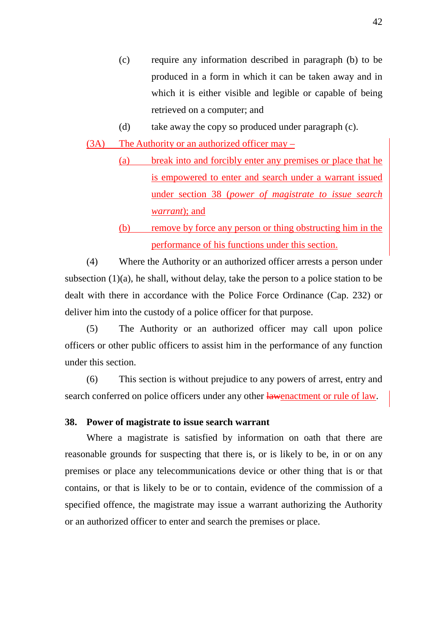- (c) require any information described in paragraph (b) to be produced in a form in which it can be taken away and in which it is either visible and legible or capable of being retrieved on a computer; and
- (d) take away the copy so produced under paragraph (c).
- (3A) The Authority or an authorized officer may
	- (a) break into and forcibly enter any premises or place that he is empowered to enter and search under a warrant issued under section 38 (*power of magistrate to issue search warrant*); and
	- (b) remove by force any person or thing obstructing him in the performance of his functions under this section.

(4) Where the Authority or an authorized officer arrests a person under subsection (1)(a), he shall, without delay, take the person to a police station to be dealt with there in accordance with the Police Force Ordinance (Cap. 232) or deliver him into the custody of a police officer for that purpose.

(5) The Authority or an authorized officer may call upon police officers or other public officers to assist him in the performance of any function under this section.

(6) This section is without prejudice to any powers of arrest, entry and search conferred on police officers under any other **lawenactment or rule of law**.

#### **38. Power of magistrate to issue search warrant**

Where a magistrate is satisfied by information on oath that there are reasonable grounds for suspecting that there is, or is likely to be, in or on any premises or place any telecommunications device or other thing that is or that contains, or that is likely to be or to contain, evidence of the commission of a specified offence, the magistrate may issue a warrant authorizing the Authority or an authorized officer to enter and search the premises or place.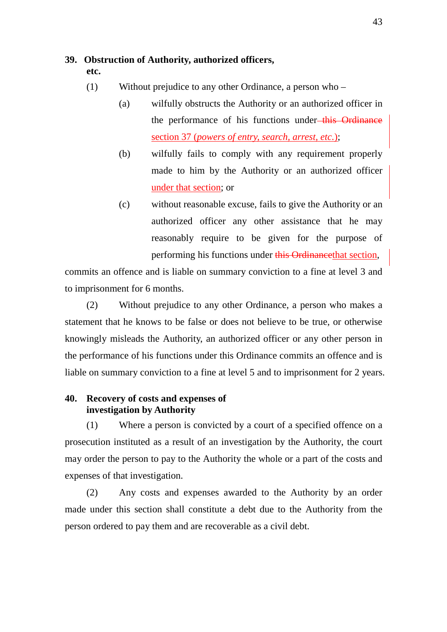## **39. Obstruction of Authority, authorized officers,**

**etc.** 

- (1) Without prejudice to any other Ordinance, a person who
	- (a) wilfully obstructs the Authority or an authorized officer in the performance of his functions under-this Ordinance section 37 (*powers of entry, search, arrest, etc.*);
	- (b) wilfully fails to comply with any requirement properly made to him by the Authority or an authorized officer under that section; or
	- (c) without reasonable excuse, fails to give the Authority or an authorized officer any other assistance that he may reasonably require to be given for the purpose of performing his functions under this Ordinancethat section,

commits an offence and is liable on summary conviction to a fine at level 3 and to imprisonment for 6 months.

(2) Without prejudice to any other Ordinance, a person who makes a statement that he knows to be false or does not believe to be true, or otherwise knowingly misleads the Authority, an authorized officer or any other person in the performance of his functions under this Ordinance commits an offence and is liable on summary conviction to a fine at level 5 and to imprisonment for 2 years.

# **40. Recovery of costs and expenses of investigation by Authority**

(1) Where a person is convicted by a court of a specified offence on a prosecution instituted as a result of an investigation by the Authority, the court may order the person to pay to the Authority the whole or a part of the costs and expenses of that investigation.

(2) Any costs and expenses awarded to the Authority by an order made under this section shall constitute a debt due to the Authority from the person ordered to pay them and are recoverable as a civil debt.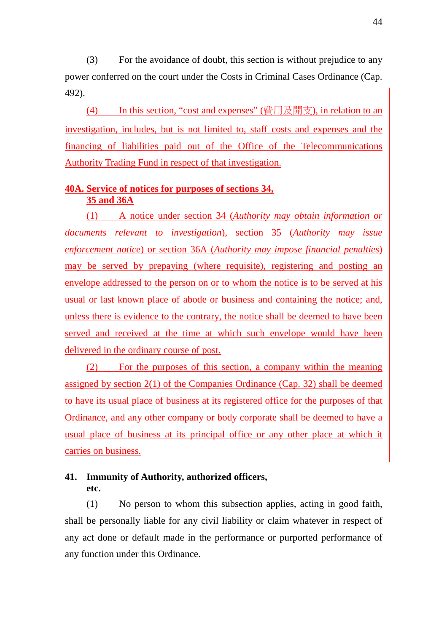(3) For the avoidance of doubt, this section is without prejudice to any power conferred on the court under the Costs in Criminal Cases Ordinance (Cap. 492).

(4) In this section, "cost and expenses" (費用及開支), in relation to an investigation, includes, but is not limited to, staff costs and expenses and the financing of liabilities paid out of the Office of the Telecommunications Authority Trading Fund in respect of that investigation.

# **40A. Service of notices for purposes of sections 34, 35 and 36A**

(1) A notice under section 34 (*Authority may obtain information or documents relevant to investigation*), section 35 (*Authority may issue enforcement notice*) or section 36A (*Authority may impose financial penalties*) may be served by prepaying (where requisite), registering and posting an envelope addressed to the person on or to whom the notice is to be served at his usual or last known place of abode or business and containing the notice; and, unless there is evidence to the contrary, the notice shall be deemed to have been served and received at the time at which such envelope would have been delivered in the ordinary course of post.

(2) For the purposes of this section, a company within the meaning assigned by section 2(1) of the Companies Ordinance (Cap. 32) shall be deemed to have its usual place of business at its registered office for the purposes of that Ordinance, and any other company or body corporate shall be deemed to have a usual place of business at its principal office or any other place at which it carries on business.

# **41. Immunity of Authority, authorized officers, etc.**

(1) No person to whom this subsection applies, acting in good faith, shall be personally liable for any civil liability or claim whatever in respect of any act done or default made in the performance or purported performance of any function under this Ordinance.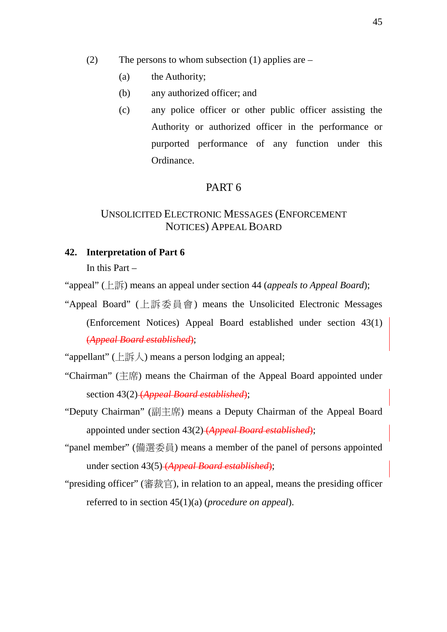- (2) The persons to whom subsection (1) applies are  $-$ 
	- (a) the Authority;
	- (b) any authorized officer; and
	- (c) any police officer or other public officer assisting the Authority or authorized officer in the performance or purported performance of any function under this Ordinance.

# PART 6

# UNSOLICITED ELECTRONIC MESSAGES (ENFORCEMENT NOTICES) APPEAL BOARD

## **42. Interpretation of Part 6**

In this Part –

"appeal" (上訴) means an appeal under section 44 (*appeals to Appeal Board*);

"Appeal Board" (上訴委員會) means the Unsolicited Electronic Messages (Enforcement Notices) Appeal Board established under section 43(1) (*Appeal Board established*);

"appellant" (上訴人) means a person lodging an appeal;

- "Chairman" (主席) means the Chairman of the Appeal Board appointed under section 43(2) (*Appeal Board established*);
- "Deputy Chairman" (副主席) means a Deputy Chairman of the Appeal Board appointed under section 43(2) (*Appeal Board established*);
- "panel member" (備選委員) means a member of the panel of persons appointed under section 43(5) (*Appeal Board established*);
- "presiding officer" (審裁官), in relation to an appeal, means the presiding officer referred to in section 45(1)(a) (*procedure on appeal*).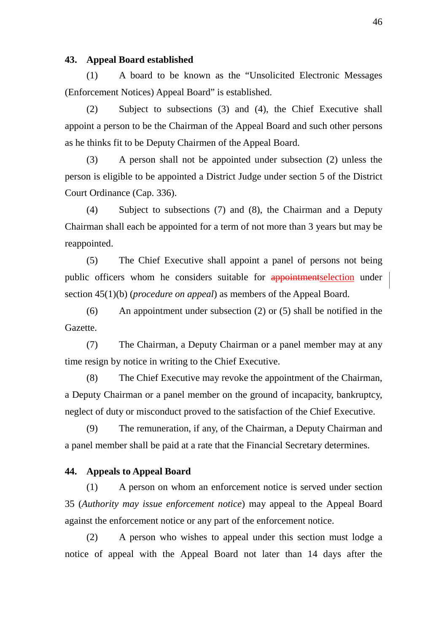#### **43. Appeal Board established**

(1) A board to be known as the "Unsolicited Electronic Messages (Enforcement Notices) Appeal Board" is established.

(2) Subject to subsections (3) and (4), the Chief Executive shall appoint a person to be the Chairman of the Appeal Board and such other persons as he thinks fit to be Deputy Chairmen of the Appeal Board.

(3) A person shall not be appointed under subsection (2) unless the person is eligible to be appointed a District Judge under section 5 of the District Court Ordinance (Cap. 336).

(4) Subject to subsections (7) and (8), the Chairman and a Deputy Chairman shall each be appointed for a term of not more than 3 years but may be reappointed.

(5) The Chief Executive shall appoint a panel of persons not being public officers whom he considers suitable for **appointmentselection** under section 45(1)(b) (*procedure on appeal*) as members of the Appeal Board.

(6) An appointment under subsection (2) or (5) shall be notified in the Gazette.

(7) The Chairman, a Deputy Chairman or a panel member may at any time resign by notice in writing to the Chief Executive.

(8) The Chief Executive may revoke the appointment of the Chairman, a Deputy Chairman or a panel member on the ground of incapacity, bankruptcy, neglect of duty or misconduct proved to the satisfaction of the Chief Executive.

(9) The remuneration, if any, of the Chairman, a Deputy Chairman and a panel member shall be paid at a rate that the Financial Secretary determines.

#### **44. Appeals to Appeal Board**

(1) A person on whom an enforcement notice is served under section 35 (*Authority may issue enforcement notice*) may appeal to the Appeal Board against the enforcement notice or any part of the enforcement notice.

(2) A person who wishes to appeal under this section must lodge a notice of appeal with the Appeal Board not later than 14 days after the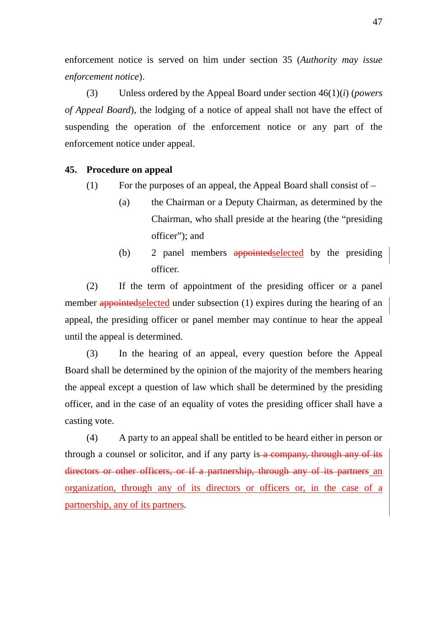enforcement notice is served on him under section 35 (*Authority may issue enforcement notice*).

(3) Unless ordered by the Appeal Board under section 46(1)(*i*) (*powers of Appeal Board*), the lodging of a notice of appeal shall not have the effect of suspending the operation of the enforcement notice or any part of the enforcement notice under appeal.

## **45. Procedure on appeal**

- (1) For the purposes of an appeal, the Appeal Board shall consist of  $-$ 
	- (a) the Chairman or a Deputy Chairman, as determined by the Chairman, who shall preside at the hearing (the "presiding officer"); and
	- (b) 2 panel members appointed selected by the presiding officer.

(2) If the term of appointment of the presiding officer or a panel member appointed selected under subsection (1) expires during the hearing of an appeal, the presiding officer or panel member may continue to hear the appeal until the appeal is determined.

(3) In the hearing of an appeal, every question before the Appeal Board shall be determined by the opinion of the majority of the members hearing the appeal except a question of law which shall be determined by the presiding officer, and in the case of an equality of votes the presiding officer shall have a casting vote.

(4) A party to an appeal shall be entitled to be heard either in person or through a counsel or solicitor, and if any party is a company, through any of its directors or other officers, or if a partnership, through any of its partners an organization, through any of its directors or officers or, in the case of a partnership, any of its partners.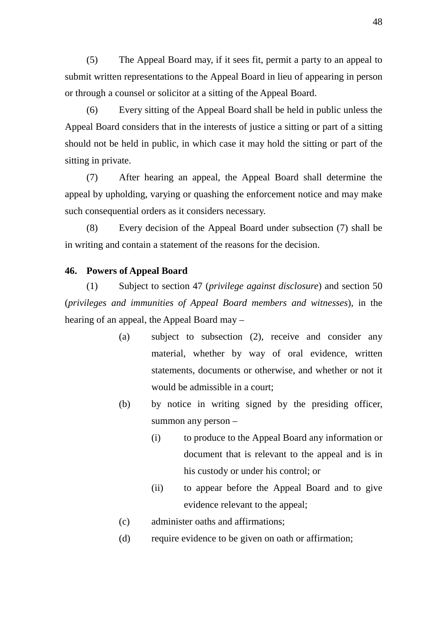(5) The Appeal Board may, if it sees fit, permit a party to an appeal to submit written representations to the Appeal Board in lieu of appearing in person or through a counsel or solicitor at a sitting of the Appeal Board.

(6) Every sitting of the Appeal Board shall be held in public unless the Appeal Board considers that in the interests of justice a sitting or part of a sitting should not be held in public, in which case it may hold the sitting or part of the sitting in private.

(7) After hearing an appeal, the Appeal Board shall determine the appeal by upholding, varying or quashing the enforcement notice and may make such consequential orders as it considers necessary.

(8) Every decision of the Appeal Board under subsection (7) shall be in writing and contain a statement of the reasons for the decision.

#### **46. Powers of Appeal Board**

(1) Subject to section 47 (*privilege against disclosure*) and section 50 (*privileges and immunities of Appeal Board members and witnesses*), in the hearing of an appeal, the Appeal Board may –

- (a) subject to subsection (2), receive and consider any material, whether by way of oral evidence, written statements, documents or otherwise, and whether or not it would be admissible in a court;
- (b) by notice in writing signed by the presiding officer, summon any person –
	- (i) to produce to the Appeal Board any information or document that is relevant to the appeal and is in his custody or under his control; or
	- (ii) to appear before the Appeal Board and to give evidence relevant to the appeal;
- (c) administer oaths and affirmations;
- (d) require evidence to be given on oath or affirmation;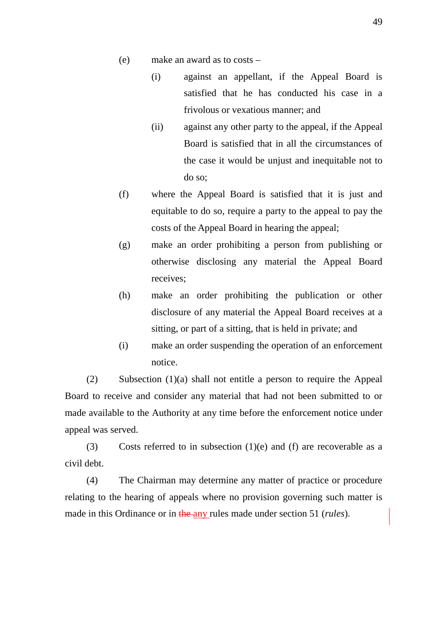- (e) make an award as to costs
	- (i) against an appellant, if the Appeal Board is satisfied that he has conducted his case in a frivolous or vexatious manner; and
	- (ii) against any other party to the appeal, if the Appeal Board is satisfied that in all the circumstances of the case it would be unjust and inequitable not to do so;
- (f) where the Appeal Board is satisfied that it is just and equitable to do so, require a party to the appeal to pay the costs of the Appeal Board in hearing the appeal;
- (g) make an order prohibiting a person from publishing or otherwise disclosing any material the Appeal Board receives;
- (h) make an order prohibiting the publication or other disclosure of any material the Appeal Board receives at a sitting, or part of a sitting, that is held in private; and
- (i) make an order suspending the operation of an enforcement notice.

(2) Subsection (1)(a) shall not entitle a person to require the Appeal Board to receive and consider any material that had not been submitted to or made available to the Authority at any time before the enforcement notice under appeal was served.

(3) Costs referred to in subsection  $(1)(e)$  and  $(f)$  are recoverable as a civil debt.

(4) The Chairman may determine any matter of practice or procedure relating to the hearing of appeals where no provision governing such matter is made in this Ordinance or in the any rules made under section 51 (*rules*).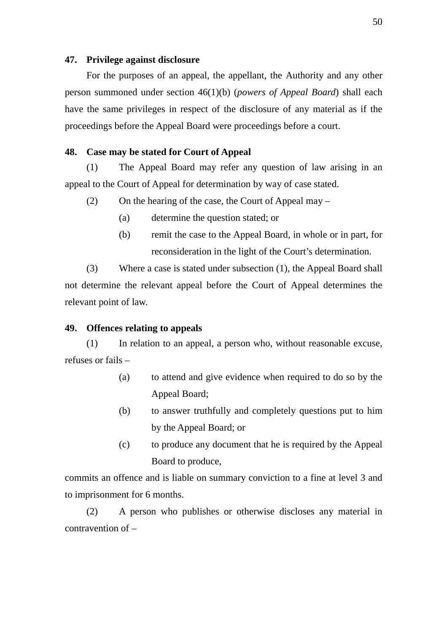#### **47. Privilege against disclosure**

For the purposes of an appeal, the appellant, the Authority and any other person summoned under section 46(1)(b) (*powers of Appeal Board*) shall each have the same privileges in respect of the disclosure of any material as if the proceedings before the Appeal Board were proceedings before a court.

## **48. Case may be stated for Court of Appeal**

(1) The Appeal Board may refer any question of law arising in an appeal to the Court of Appeal for determination by way of case stated.

(2) On the hearing of the case, the Court of Appeal may –

- (a) determine the question stated; or
- (b) remit the case to the Appeal Board, in whole or in part, for reconsideration in the light of the Court's determination.

(3) Where a case is stated under subsection (1), the Appeal Board shall not determine the relevant appeal before the Court of Appeal determines the relevant point of law.

## **49. Offences relating to appeals**

(1) In relation to an appeal, a person who, without reasonable excuse, refuses or fails –

- (a) to attend and give evidence when required to do so by the Appeal Board;
- (b) to answer truthfully and completely questions put to him by the Appeal Board; or
- (c) to produce any document that he is required by the Appeal Board to produce,

commits an offence and is liable on summary conviction to a fine at level 3 and to imprisonment for 6 months.

(2) A person who publishes or otherwise discloses any material in contravention of –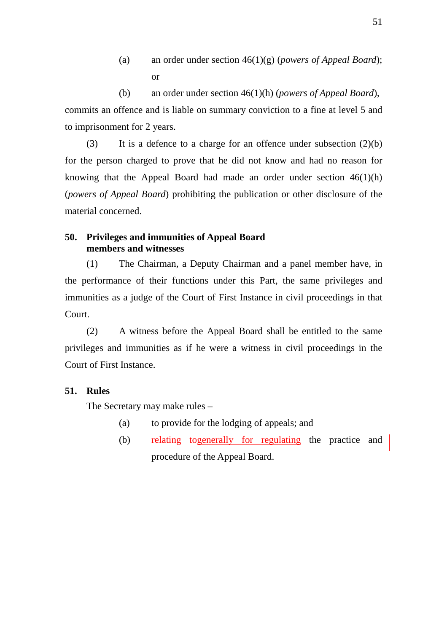(a) an order under section 46(1)(g) (*powers of Appeal Board*); or

(b) an order under section 46(1)(h) (*powers of Appeal Board*), commits an offence and is liable on summary conviction to a fine at level 5 and to imprisonment for 2 years.

(3) It is a defence to a charge for an offence under subsection (2)(b) for the person charged to prove that he did not know and had no reason for knowing that the Appeal Board had made an order under section  $46(1)(h)$ (*powers of Appeal Board*) prohibiting the publication or other disclosure of the material concerned.

# **50. Privileges and immunities of Appeal Board members and witnesses**

(1) The Chairman, a Deputy Chairman and a panel member have, in the performance of their functions under this Part, the same privileges and immunities as a judge of the Court of First Instance in civil proceedings in that Court.

(2) A witness before the Appeal Board shall be entitled to the same privileges and immunities as if he were a witness in civil proceedings in the Court of First Instance.

# **51. Rules**

The Secretary may make rules –

- (a) to provide for the lodging of appeals; and
- (b) relating togenerally for regulating the practice and procedure of the Appeal Board.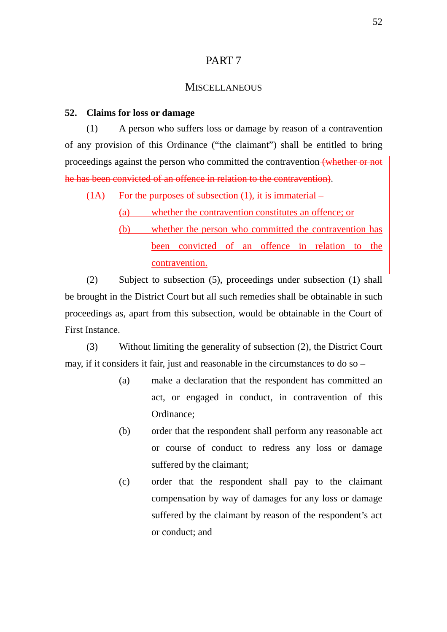# PART 7

# **MISCELLANEOUS**

#### **52. Claims for loss or damage**

(1) A person who suffers loss or damage by reason of a contravention of any provision of this Ordinance ("the claimant") shall be entitled to bring proceedings against the person who committed the contravention (whether or not he has been convicted of an offence in relation to the contravention).

 $(1)$  For the purposes of subsection  $(1)$ , it is immaterial –

(a) whether the contravention constitutes an offence; or

(b) whether the person who committed the contravention has been convicted of an offence in relation to the contravention.

(2) Subject to subsection (5), proceedings under subsection (1) shall be brought in the District Court but all such remedies shall be obtainable in such proceedings as, apart from this subsection, would be obtainable in the Court of First Instance.

(3) Without limiting the generality of subsection (2), the District Court may, if it considers it fair, just and reasonable in the circumstances to do so –

- (a) make a declaration that the respondent has committed an act, or engaged in conduct, in contravention of this Ordinance;
- (b) order that the respondent shall perform any reasonable act or course of conduct to redress any loss or damage suffered by the claimant;
- (c) order that the respondent shall pay to the claimant compensation by way of damages for any loss or damage suffered by the claimant by reason of the respondent's act or conduct; and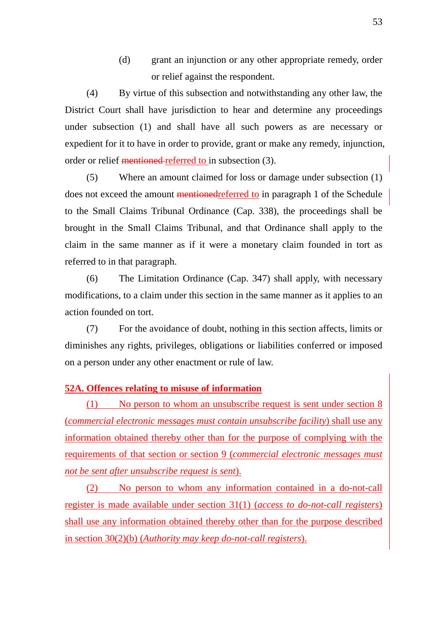(d) grant an injunction or any other appropriate remedy, order or relief against the respondent.

(4) By virtue of this subsection and notwithstanding any other law, the District Court shall have jurisdiction to hear and determine any proceedings under subsection (1) and shall have all such powers as are necessary or expedient for it to have in order to provide, grant or make any remedy, injunction, order or relief mentioned referred to in subsection (3).

(5) Where an amount claimed for loss or damage under subsection (1) does not exceed the amount mentionedreferred to in paragraph 1 of the Schedule to the Small Claims Tribunal Ordinance (Cap. 338), the proceedings shall be brought in the Small Claims Tribunal, and that Ordinance shall apply to the claim in the same manner as if it were a monetary claim founded in tort as referred to in that paragraph.

(6) The Limitation Ordinance (Cap. 347) shall apply, with necessary modifications, to a claim under this section in the same manner as it applies to an action founded on tort.

(7) For the avoidance of doubt, nothing in this section affects, limits or diminishes any rights, privileges, obligations or liabilities conferred or imposed on a person under any other enactment or rule of law.

# **52A. Offences relating to misuse of information**

(1) No person to whom an unsubscribe request is sent under section 8 (*commercial electronic messages must contain unsubscribe facility*) shall use any information obtained thereby other than for the purpose of complying with the requirements of that section or section 9 (*commercial electronic messages must not be sent after unsubscribe request is sent*).

(2) No person to whom any information contained in a do-not-call register is made available under section 31(1) (*access to do-not-call registers*) shall use any information obtained thereby other than for the purpose described in section 30(2)(b) (*Authority may keep do-not-call registers*).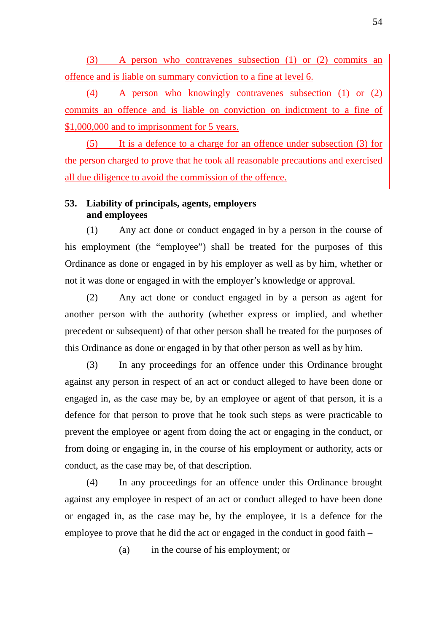(3) A person who contravenes subsection (1) or (2) commits an offence and is liable on summary conviction to a fine at level 6.

(4) A person who knowingly contravenes subsection (1) or (2) commits an offence and is liable on conviction on indictment to a fine of \$1,000,000 and to imprisonment for 5 years.

(5) It is a defence to a charge for an offence under subsection (3) for the person charged to prove that he took all reasonable precautions and exercised all due diligence to avoid the commission of the offence.

# **53. Liability of principals, agents, employers and employees**

(1) Any act done or conduct engaged in by a person in the course of his employment (the "employee") shall be treated for the purposes of this Ordinance as done or engaged in by his employer as well as by him, whether or not it was done or engaged in with the employer's knowledge or approval.

(2) Any act done or conduct engaged in by a person as agent for another person with the authority (whether express or implied, and whether precedent or subsequent) of that other person shall be treated for the purposes of this Ordinance as done or engaged in by that other person as well as by him.

(3) In any proceedings for an offence under this Ordinance brought against any person in respect of an act or conduct alleged to have been done or engaged in, as the case may be, by an employee or agent of that person, it is a defence for that person to prove that he took such steps as were practicable to prevent the employee or agent from doing the act or engaging in the conduct, or from doing or engaging in, in the course of his employment or authority, acts or conduct, as the case may be, of that description.

(4) In any proceedings for an offence under this Ordinance brought against any employee in respect of an act or conduct alleged to have been done or engaged in, as the case may be, by the employee, it is a defence for the employee to prove that he did the act or engaged in the conduct in good faith –

(a) in the course of his employment; or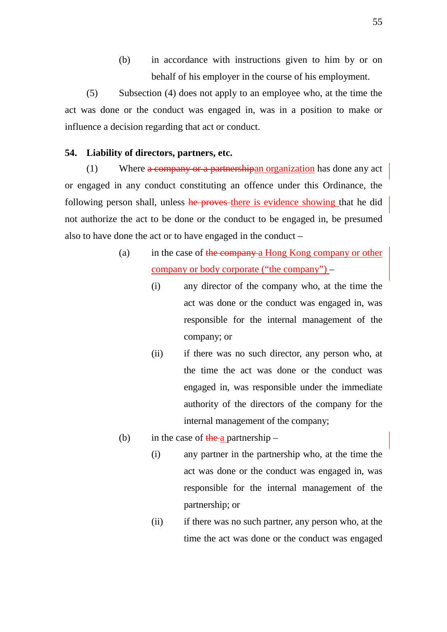(b) in accordance with instructions given to him by or on behalf of his employer in the course of his employment.

(5) Subsection (4) does not apply to an employee who, at the time the act was done or the conduct was engaged in, was in a position to make or influence a decision regarding that act or conduct.

# **54. Liability of directors, partners, etc.**

(1) Where a company or a partnershipan organization has done any act or engaged in any conduct constituting an offence under this Ordinance, the following person shall, unless he proves there is evidence showing that he did not authorize the act to be done or the conduct to be engaged in, be presumed also to have done the act or to have engaged in the conduct –

- (a) in the case of the company a Hong Kong company or other company or body corporate ("the company") –
	- (i) any director of the company who, at the time the act was done or the conduct was engaged in, was responsible for the internal management of the company; or
	- (ii) if there was no such director, any person who, at the time the act was done or the conduct was engaged in, was responsible under the immediate authority of the directors of the company for the internal management of the company;
- (b) in the case of the a partnership
	- (i) any partner in the partnership who, at the time the act was done or the conduct was engaged in, was responsible for the internal management of the partnership; or
	- (ii) if there was no such partner, any person who, at the time the act was done or the conduct was engaged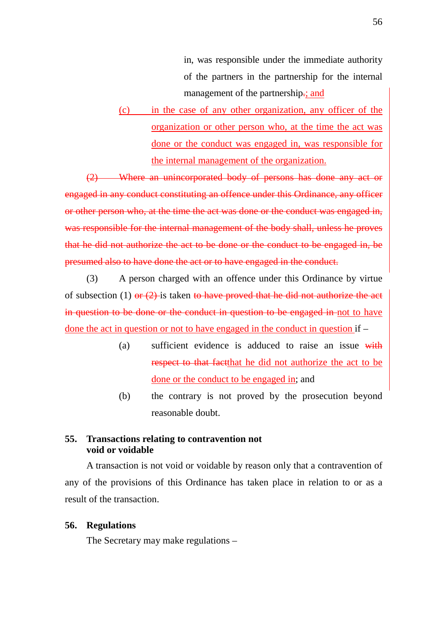in, was responsible under the immediate authority of the partners in the partnership for the internal management of the partnership.; and

(c) in the case of any other organization, any officer of the organization or other person who, at the time the act was done or the conduct was engaged in, was responsible for the internal management of the organization.

(2) Where an unincorporated body of persons has done any act or engaged in any conduct constituting an offence under this Ordinance, any officer or other person who, at the time the act was done or the conduct was engaged in, was responsible for the internal management of the body shall, unless he proves that he did not authorize the act to be done or the conduct to be engaged in, be presumed also to have done the act or to have engaged in the conduct.

(3) A person charged with an offence under this Ordinance by virtue of subsection (1) or  $(2)$  is taken to have proved that he did not authorize the act in question to be done or the conduct in question to be engaged in not to have done the act in question or not to have engaged in the conduct in question if –

- (a) sufficient evidence is adduced to raise an issue with respect to that factthat he did not authorize the act to be done or the conduct to be engaged in; and
- (b) the contrary is not proved by the prosecution beyond reasonable doubt.

# **55. Transactions relating to contravention not void or voidable**

A transaction is not void or voidable by reason only that a contravention of any of the provisions of this Ordinance has taken place in relation to or as a result of the transaction.

# **56. Regulations**

The Secretary may make regulations –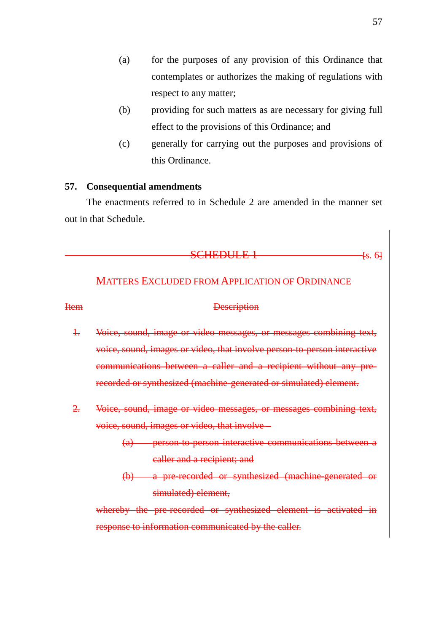- (a) for the purposes of any provision of this Ordinance that contemplates or authorizes the making of regulations with respect to any matter;
- (b) providing for such matters as are necessary for giving full effect to the provisions of this Ordinance; and
- (c) generally for carrying out the purposes and provisions of this Ordinance.

# **57. Consequential amendments**

The enactments referred to in Schedule 2 are amended in the manner set out in that Schedule.

#### $SCHEDULE$   $1$   $\longrightarrow$   $[s, 6]$

# MATTERS EXCLUDED FROM APPLICATION OF ORDINANCE

#### Item Description

- 1. Voice, sound, image or video messages, or messages combining text, voice, sound, images or video, that involve person-to-person interactive communications between a caller and a recipient without any prerecorded or synthesized (machine-generated or simulated) element.
- 2. Voice, sound, image or video messages, or messages combining text, voice, sound, images or video, that involve –
	- (a) person-to-person interactive communications between a caller and a recipient; and
	- (b) a pre-recorded or synthesized (machine-generated or simulated) element.

whereby the pre-recorded or synthesized element is activated in response to information communicated by the caller.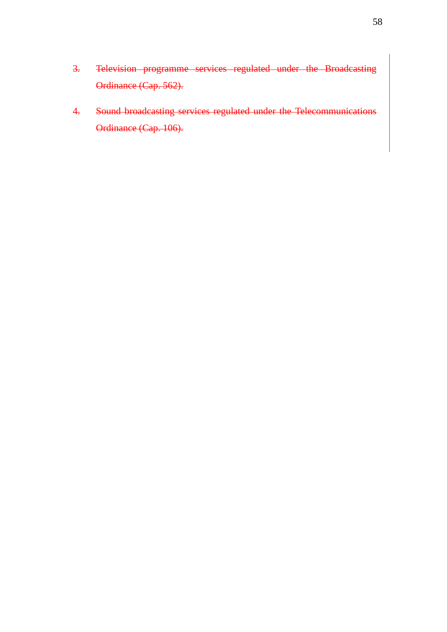- 3. Television programme services regulated under the Broadcasting Ordinance (Cap. 562).
- 4. Sound broadcasting services regulated under the Telecommunications Ordinance (Cap. 106).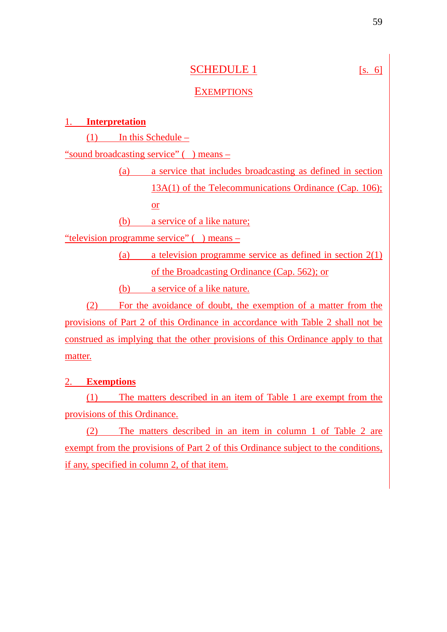# SCHEDULE 1 [s. 6]

# **EXEMPTIONS**

# 1. **Interpretation**

(1) In this Schedule –

"sound broadcasting service" ( ) means –

(a) a service that includes broadcasting as defined in section 13A(1) of the Telecommunications Ordinance (Cap. 106); or

(b) a service of a like nature;

"television programme service" ( ) means –

(a) a television programme service as defined in section 2(1) of the Broadcasting Ordinance (Cap. 562); or

(b) a service of a like nature.

(2) For the avoidance of doubt, the exemption of a matter from the provisions of Part 2 of this Ordinance in accordance with Table 2 shall not be construed as implying that the other provisions of this Ordinance apply to that matter.

# 2. **Exemptions**

(1) The matters described in an item of Table 1 are exempt from the provisions of this Ordinance.

(2) The matters described in an item in column 1 of Table 2 are exempt from the provisions of Part 2 of this Ordinance subject to the conditions, if any, specified in column 2, of that item.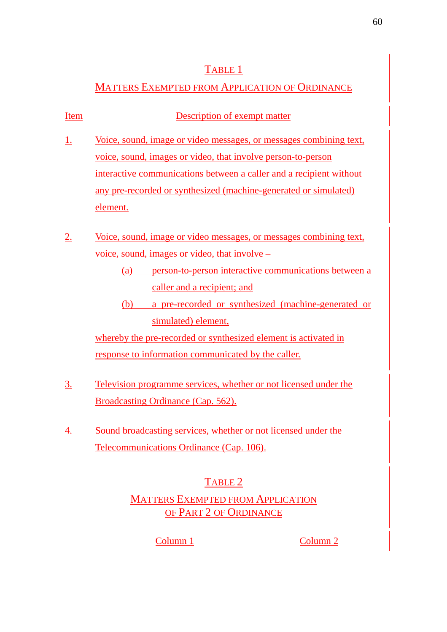# TABLE 1

# MATTERS EXEMPTED FROM APPLICATION OF ORDINANCE

| Item      | Description of exempt matter                                                                                                                                                                                                                                                                            |
|-----------|---------------------------------------------------------------------------------------------------------------------------------------------------------------------------------------------------------------------------------------------------------------------------------------------------------|
| <u>1.</u> | Voice, sound, image or video messages, or messages combining text,<br>voice, sound, images or video, that involve person-to-person<br>interactive communications between a caller and a recipient without<br>any pre-recorded or synthesized (machine-generated or simulated)<br>element.               |
| <u>2.</u> | Voice, sound, image or video messages, or messages combining text,<br>voice, sound, images or video, that involve –<br>person-to-person interactive communications between a<br>(a)<br>caller and a recipient; and<br>a pre-recorded or synthesized (machine-generated or<br>(b)<br>simulated) element, |
|           | whereby the pre-recorded or synthesized element is activated in<br>response to information communicated by the caller.                                                                                                                                                                                  |
| <u>3.</u> | Television programme services, whether or not licensed under the<br>Broadcasting Ordinance (Cap. 562).                                                                                                                                                                                                  |

4. Sound broadcasting services, whether or not licensed under the Telecommunications Ordinance (Cap. 106).

# TABLE 2

# MATTERS EXEMPTED FROM APPLICATION OF PART 2 OF ORDINANCE

Column 1 Column 2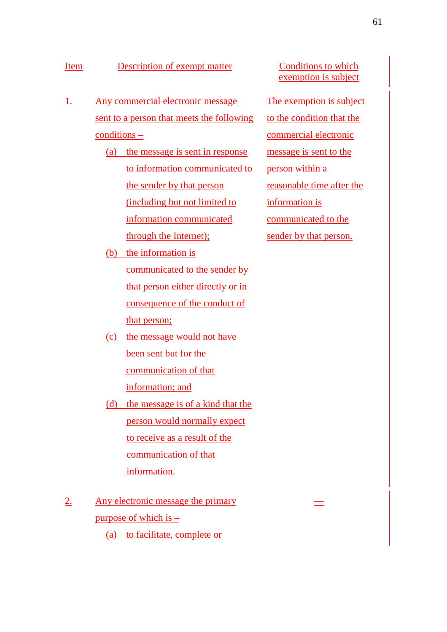# Item Description of exempt matter Conditions to which

- 1. Any commercial electronic message sent to a person that meets the following conditions –
	- (a) the message is sent in response to information communicated to the sender by that person (including but not limited to information communicated through the Internet);
	- (b) the information is communicated to the sender by that person either directly or in consequence of the conduct of that person;
	- (c) the message would not have been sent but for the communication of that information; and
	- (d) the message is of a kind that the person would normally expect to receive as a result of the communication of that information.
- 2. Any electronic message the primary purpose of which is – (a) to facilitate, complete or

exemption is subject

The exemption is subject to the condition that the commercial electronic message is sent to the person within a reasonable time after the information is communicated to the sender by that person.

––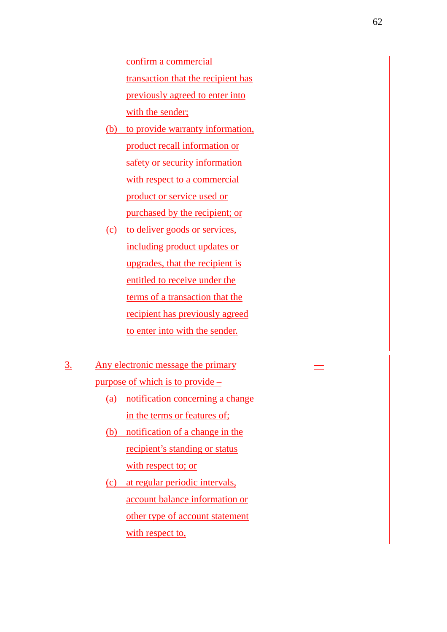confirm a commercial transaction that the recipient has previously agreed to enter into with the sender;

- (b) to provide warranty information, product recall information or safety or security information with respect to a commercial product or service used or purchased by the recipient; or
- (c) to deliver goods or services, including product updates or upgrades, that the recipient is entitled to receive under the terms of a transaction that the recipient has previously agreed to enter into with the sender.
- 3. Any electronic message the primary purpose of which is to provide –
	- (a) notification concerning a change in the terms or features of;
	- (b) notification of a change in the recipient's standing or status with respect to; or
	- (c) at regular periodic intervals, account balance information or other type of account statement with respect to,

––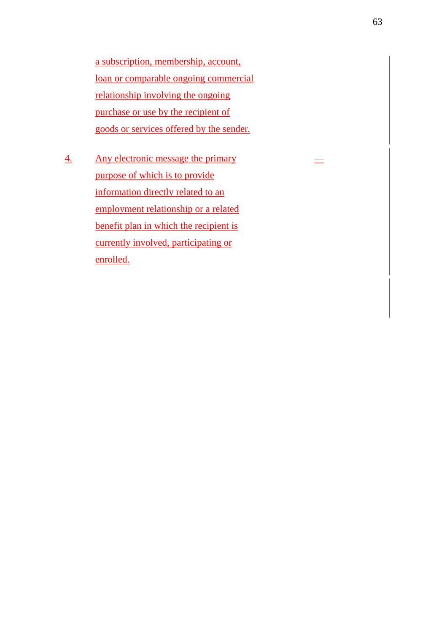a subscription, membership, account, loan or comparable ongoing commercial relationship involving the ongoing purchase or use by the recipient of goods or services offered by the sender.

4. Any electronic message the primary purpose of which is to provide information directly related to an employment relationship or a related benefit plan in which the recipient is currently involved, participating or enrolled.

––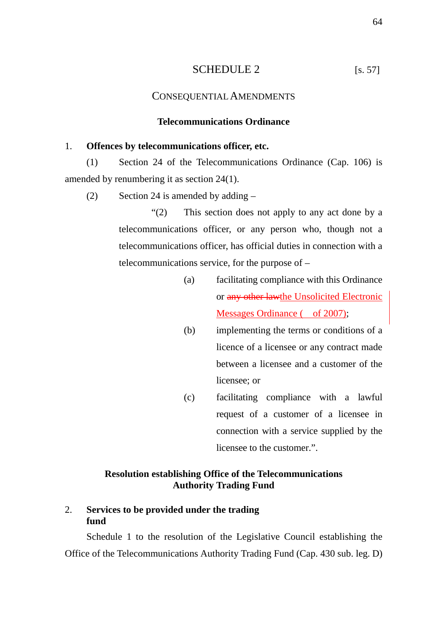# SCHEDULE 2 [s. 57]

# CONSEQUENTIAL AMENDMENTS

## **Telecommunications Ordinance**

# 1. **Offences by telecommunications officer, etc.**

(1) Section 24 of the Telecommunications Ordinance (Cap. 106) is amended by renumbering it as section 24(1).

(2) Section 24 is amended by adding  $-$ 

"(2) This section does not apply to any act done by a telecommunications officer, or any person who, though not a telecommunications officer, has official duties in connection with a telecommunications service, for the purpose of –

- (a) facilitating compliance with this Ordinance or any other lawthe Unsolicited Electronic Messages Ordinance ( of 2007);
- (b) implementing the terms or conditions of a licence of a licensee or any contract made between a licensee and a customer of the licensee; or
- (c) facilitating compliance with a lawful request of a customer of a licensee in connection with a service supplied by the licensee to the customer.".

# **Resolution establishing Office of the Telecommunications Authority Trading Fund**

# 2. **Services to be provided under the trading fund**

Schedule 1 to the resolution of the Legislative Council establishing the Office of the Telecommunications Authority Trading Fund (Cap. 430 sub. leg. D)